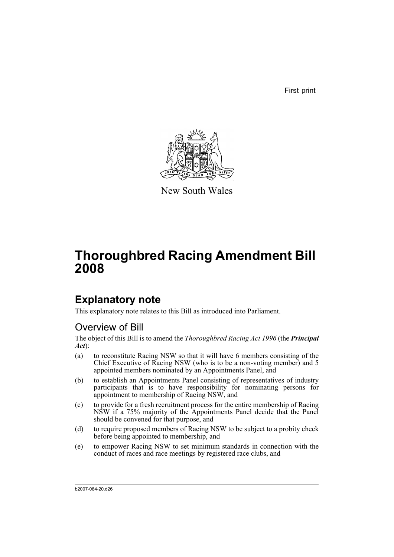First print



New South Wales

# **Thoroughbred Racing Amendment Bill 2008**

# **Explanatory note**

This explanatory note relates to this Bill as introduced into Parliament.

# Overview of Bill

The object of this Bill is to amend the *Thoroughbred Racing Act 1996* (the *Principal Act*):

- (a) to reconstitute Racing NSW so that it will have 6 members consisting of the Chief Executive of Racing NSW (who is to be a non-voting member) and 5 appointed members nominated by an Appointments Panel, and
- (b) to establish an Appointments Panel consisting of representatives of industry participants that is to have responsibility for nominating persons for appointment to membership of Racing NSW, and
- (c) to provide for a fresh recruitment process for the entire membership of Racing NSW if a 75% majority of the Appointments Panel decide that the Panel should be convened for that purpose, and
- (d) to require proposed members of Racing NSW to be subject to a probity check before being appointed to membership, and
- (e) to empower Racing NSW to set minimum standards in connection with the conduct of races and race meetings by registered race clubs, and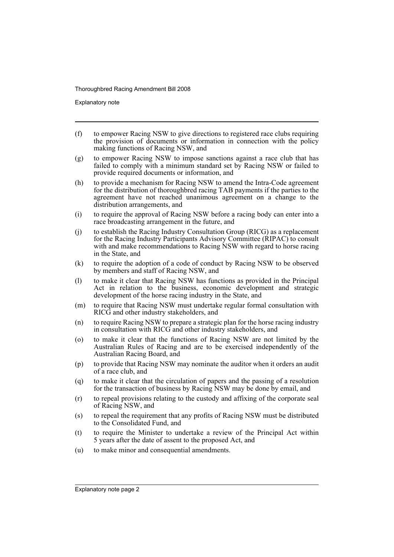Explanatory note

- (f) to empower Racing NSW to give directions to registered race clubs requiring the provision of documents or information in connection with the policy making functions of Racing NSW, and
- (g) to empower Racing NSW to impose sanctions against a race club that has failed to comply with a minimum standard set by Racing NSW or failed to provide required documents or information, and
- (h) to provide a mechanism for Racing NSW to amend the Intra-Code agreement for the distribution of thoroughbred racing TAB payments if the parties to the agreement have not reached unanimous agreement on a change to the distribution arrangements, and
- (i) to require the approval of Racing NSW before a racing body can enter into a race broadcasting arrangement in the future, and
- (j) to establish the Racing Industry Consultation Group (RICG) as a replacement for the Racing Industry Participants Advisory Committee (RIPAC) to consult with and make recommendations to Racing NSW with regard to horse racing in the State, and
- (k) to require the adoption of a code of conduct by Racing NSW to be observed by members and staff of Racing NSW, and
- (l) to make it clear that Racing NSW has functions as provided in the Principal Act in relation to the business, economic development and strategic development of the horse racing industry in the State, and
- (m) to require that Racing NSW must undertake regular formal consultation with RICG and other industry stakeholders, and
- (n) to require Racing NSW to prepare a strategic plan for the horse racing industry in consultation with RICG and other industry stakeholders, and
- (o) to make it clear that the functions of Racing NSW are not limited by the Australian Rules of Racing and are to be exercised independently of the Australian Racing Board, and
- (p) to provide that Racing NSW may nominate the auditor when it orders an audit of a race club, and
- (q) to make it clear that the circulation of papers and the passing of a resolution for the transaction of business by Racing NSW may be done by email, and
- (r) to repeal provisions relating to the custody and affixing of the corporate seal of Racing NSW, and
- (s) to repeal the requirement that any profits of Racing NSW must be distributed to the Consolidated Fund, and
- (t) to require the Minister to undertake a review of the Principal Act within 5 years after the date of assent to the proposed Act, and
- (u) to make minor and consequential amendments.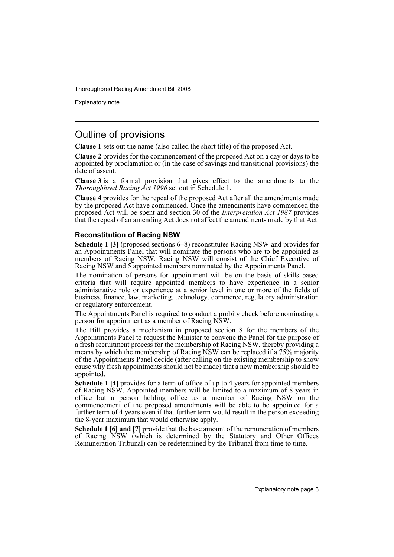Explanatory note

# Outline of provisions

**Clause 1** sets out the name (also called the short title) of the proposed Act.

**Clause 2** provides for the commencement of the proposed Act on a day or days to be appointed by proclamation or (in the case of savings and transitional provisions) the date of assent.

**Clause 3** is a formal provision that gives effect to the amendments to the *Thoroughbred Racing Act 1996* set out in Schedule 1.

**Clause 4** provides for the repeal of the proposed Act after all the amendments made by the proposed Act have commenced. Once the amendments have commenced the proposed Act will be spent and section 30 of the *Interpretation Act 1987* provides that the repeal of an amending Act does not affect the amendments made by that Act.

## **Reconstitution of Racing NSW**

**Schedule 1 [3]** (proposed sections 6–8) reconstitutes Racing NSW and provides for an Appointments Panel that will nominate the persons who are to be appointed as members of Racing NSW. Racing NSW will consist of the Chief Executive of Racing NSW and 5 appointed members nominated by the Appointments Panel.

The nomination of persons for appointment will be on the basis of skills based criteria that will require appointed members to have experience in a senior administrative role or experience at a senior level in one or more of the fields of business, finance, law, marketing, technology, commerce, regulatory administration or regulatory enforcement.

The Appointments Panel is required to conduct a probity check before nominating a person for appointment as a member of Racing NSW.

The Bill provides a mechanism in proposed section 8 for the members of the Appointments Panel to request the Minister to convene the Panel for the purpose of a fresh recruitment process for the membership of Racing NSW, thereby providing a means by which the membership of Racing NSW can be replaced if a 75% majority of the Appointments Panel decide (after calling on the existing membership to show cause why fresh appointments should not be made) that a new membership should be appointed.

**Schedule 1 [4]** provides for a term of office of up to 4 years for appointed members of Racing NSW. Appointed members will be limited to a maximum of 8 years in office but a person holding office as a member of Racing NSW on the commencement of the proposed amendments will be able to be appointed for a further term of 4 years even if that further term would result in the person exceeding the 8-year maximum that would otherwise apply.

**Schedule 1 [6] and [7]** provide that the base amount of the remuneration of members of Racing NSW (which is determined by the Statutory and Other Offices Remuneration Tribunal) can be redetermined by the Tribunal from time to time.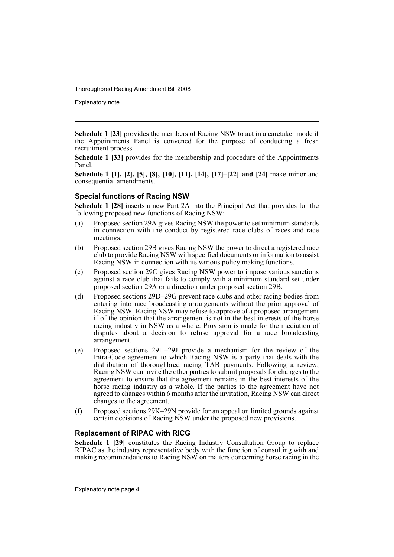Explanatory note

**Schedule 1 [23]** provides the members of Racing NSW to act in a caretaker mode if the Appointments Panel is convened for the purpose of conducting a fresh recruitment process.

**Schedule 1 [33]** provides for the membership and procedure of the Appointments Panel.

**Schedule 1 [1], [2], [5], [8], [10], [11], [14], [17]–[22] and [24]** make minor and consequential amendments.

## **Special functions of Racing NSW**

**Schedule 1 [28]** inserts a new Part 2A into the Principal Act that provides for the following proposed new functions of Racing NSW:

- (a) Proposed section 29A gives Racing NSW the power to set minimum standards in connection with the conduct by registered race clubs of races and race meetings.
- (b) Proposed section 29B gives Racing NSW the power to direct a registered race club to provide Racing NSW with specified documents or information to assist Racing NSW in connection with its various policy making functions.
- (c) Proposed section 29C gives Racing NSW power to impose various sanctions against a race club that fails to comply with a minimum standard set under proposed section 29A or a direction under proposed section 29B.
- (d) Proposed sections 29D–29G prevent race clubs and other racing bodies from entering into race broadcasting arrangements without the prior approval of Racing NSW. Racing NSW may refuse to approve of a proposed arrangement if of the opinion that the arrangement is not in the best interests of the horse racing industry in NSW as a whole. Provision is made for the mediation of disputes about a decision to refuse approval for a race broadcasting arrangement.
- (e) Proposed sections 29H–29J provide a mechanism for the review of the Intra-Code agreement to which Racing NSW is a party that deals with the distribution of thoroughbred racing TAB payments. Following a review, Racing NSW can invite the other parties to submit proposals for changes to the agreement to ensure that the agreement remains in the best interests of the horse racing industry as a whole. If the parties to the agreement have not agreed to changes within 6 months after the invitation, Racing NSW can direct changes to the agreement.
- (f) Proposed sections 29K–29N provide for an appeal on limited grounds against certain decisions of Racing NSW under the proposed new provisions.

### **Replacement of RIPAC with RICG**

**Schedule 1 [29]** constitutes the Racing Industry Consultation Group to replace RIPAC as the industry representative body with the function of consulting with and making recommendations to Racing NSW on matters concerning horse racing in the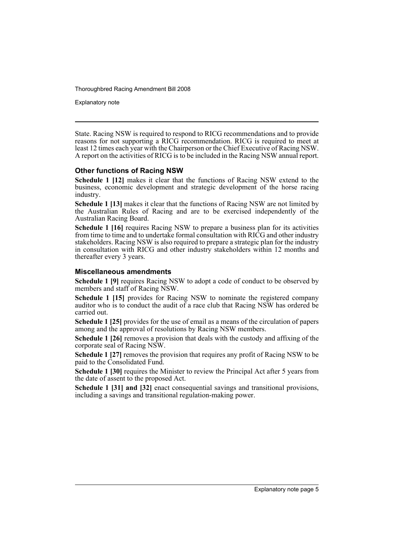Explanatory note

State. Racing NSW is required to respond to RICG recommendations and to provide reasons for not supporting a RICG recommendation. RICG is required to meet at least 12 times each year with the Chairperson or the Chief Executive of Racing NSW. A report on the activities of RICG is to be included in the Racing NSW annual report.

### **Other functions of Racing NSW**

**Schedule 1 [12]** makes it clear that the functions of Racing NSW extend to the business, economic development and strategic development of the horse racing industry.

**Schedule 1 [13]** makes it clear that the functions of Racing NSW are not limited by the Australian Rules of Racing and are to be exercised independently of the Australian Racing Board.

**Schedule 1 [16]** requires Racing NSW to prepare a business plan for its activities from time to time and to undertake formal consultation with RICG and other industry stakeholders. Racing NSW is also required to prepare a strategic plan for the industry in consultation with RICG and other industry stakeholders within 12 months and thereafter every 3 years.

#### **Miscellaneous amendments**

**Schedule 1 [9]** requires Racing NSW to adopt a code of conduct to be observed by members and staff of Racing NSW.

**Schedule 1 [15]** provides for Racing NSW to nominate the registered company auditor who is to conduct the audit of a race club that Racing NSW has ordered be carried out.

**Schedule 1 [25]** provides for the use of email as a means of the circulation of papers among and the approval of resolutions by Racing NSW members.

**Schedule 1 [26]** removes a provision that deals with the custody and affixing of the corporate seal of Racing NSW.

**Schedule 1 [27]** removes the provision that requires any profit of Racing NSW to be paid to the Consolidated Fund.

**Schedule 1 [30]** requires the Minister to review the Principal Act after 5 years from the date of assent to the proposed Act.

**Schedule 1 [31] and [32]** enact consequential savings and transitional provisions, including a savings and transitional regulation-making power.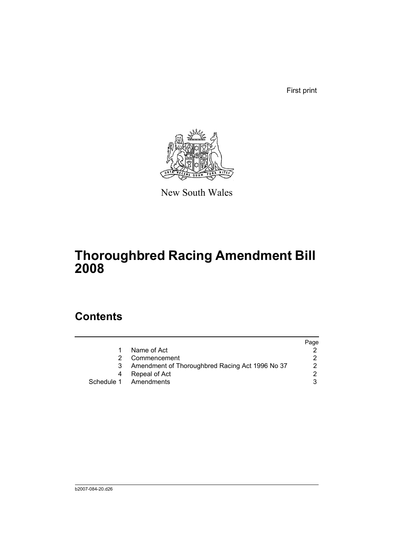First print



New South Wales

# **Thoroughbred Racing Amendment Bill 2008**

# **Contents**

|   |                                                 | Page |
|---|-------------------------------------------------|------|
|   | Name of Act                                     |      |
|   | Commencement                                    |      |
| 3 | Amendment of Thoroughbred Racing Act 1996 No 37 |      |
| 4 | Repeal of Act                                   |      |
|   | Schedule 1 Amendments                           |      |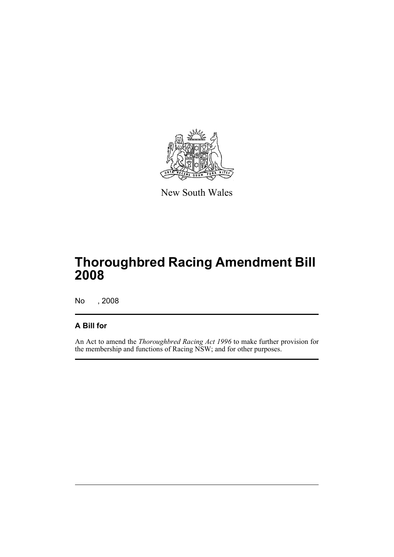

New South Wales

# **Thoroughbred Racing Amendment Bill 2008**

No , 2008

## **A Bill for**

An Act to amend the *Thoroughbred Racing Act 1996* to make further provision for the membership and functions of Racing NSW; and for other purposes.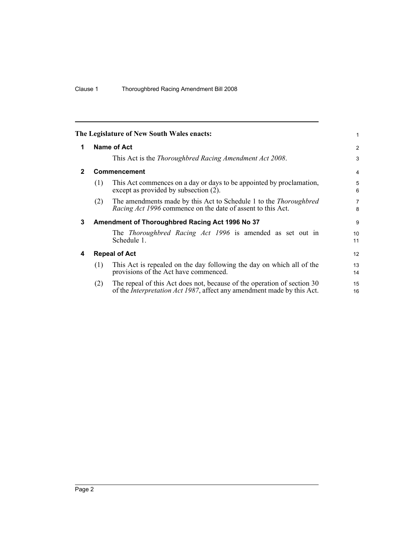<span id="page-9-3"></span><span id="page-9-2"></span><span id="page-9-1"></span><span id="page-9-0"></span>

|              |                    | The Legislature of New South Wales enacts:                                                                                                                | 1                   |  |  |  |
|--------------|--------------------|-----------------------------------------------------------------------------------------------------------------------------------------------------------|---------------------|--|--|--|
| 1            | <b>Name of Act</b> |                                                                                                                                                           |                     |  |  |  |
|              |                    | This Act is the Thoroughbred Racing Amendment Act 2008.                                                                                                   | 3                   |  |  |  |
| $\mathbf{2}$ |                    | Commencement                                                                                                                                              | $\overline{4}$      |  |  |  |
|              | (1)                | This Act commences on a day or days to be appointed by proclamation,<br>except as provided by subsection (2).                                             | 5<br>6              |  |  |  |
|              | (2)                | The amendments made by this Act to Schedule 1 to the <i>Thoroughbred</i><br><i>Racing Act 1996</i> commence on the date of assent to this Act.            | $\overline{7}$<br>8 |  |  |  |
| 3            |                    | Amendment of Thoroughbred Racing Act 1996 No 37                                                                                                           | 9                   |  |  |  |
|              |                    | The <i>Thoroughbred Racing Act 1996</i> is amended as set out in<br>Schedule 1.                                                                           | 10<br>11            |  |  |  |
| 4            |                    | <b>Repeal of Act</b>                                                                                                                                      | 12                  |  |  |  |
|              | (1)                | This Act is repealed on the day following the day on which all of the<br>provisions of the Act have commenced.                                            | 13<br>14            |  |  |  |
|              | (2)                | The repeal of this Act does not, because of the operation of section 30<br>of the <i>Interpretation Act 1987</i> , affect any amendment made by this Act. | 15<br>16            |  |  |  |
|              |                    |                                                                                                                                                           |                     |  |  |  |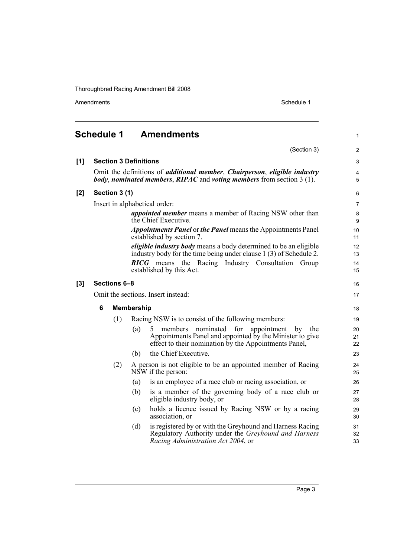<span id="page-10-0"></span>

|       | <b>Schedule 1</b> | <b>Amendments</b>                                                                                                                                                                         | 1              |
|-------|-------------------|-------------------------------------------------------------------------------------------------------------------------------------------------------------------------------------------|----------------|
|       |                   | (Section 3)                                                                                                                                                                               | $\overline{2}$ |
| [1]   |                   | <b>Section 3 Definitions</b>                                                                                                                                                              | $\mathsf 3$    |
|       |                   | Omit the definitions of <i>additional member</i> , <i>Chairperson</i> , <i>eligible industry</i><br><i>body, nominated members, RIPAC</i> and <i>voting members</i> from section $3(1)$ . | 4<br>5         |
| [2]   | Section 3 (1)     |                                                                                                                                                                                           | 6              |
|       |                   | Insert in alphabetical order:                                                                                                                                                             | $\overline{7}$ |
|       |                   | appointed member means a member of Racing NSW other than<br>the Chief Executive.                                                                                                          | 8<br>9         |
|       |                   | <b>Appointments Panel or the Panel means the Appointments Panel</b><br>established by section 7.                                                                                          | 10<br>11       |
|       |                   | <i>eligible industry body</i> means a body determined to be an eligible<br>industry body for the time being under clause 1 (3) of Schedule 2.                                             | 12<br>13       |
|       |                   | <b>RICG</b> means the Racing Industry Consultation Group<br>established by this Act.                                                                                                      | 14<br>15       |
| $[3]$ | Sections 6-8      |                                                                                                                                                                                           | 16             |
|       |                   | Omit the sections. Insert instead:                                                                                                                                                        | 17             |
|       | 6                 | <b>Membership</b>                                                                                                                                                                         | 18             |
|       | (1)               | Racing NSW is to consist of the following members:                                                                                                                                        | 19             |
|       |                   | members nominated for<br>(a)<br>appointment<br>5<br>by<br>the<br>Appointments Panel and appointed by the Minister to give<br>effect to their nomination by the Appointments Panel,        | 20<br>21<br>22 |
|       |                   | the Chief Executive.<br>(b)                                                                                                                                                               | 23             |
|       | (2)               | A person is not eligible to be an appointed member of Racing<br>NSW if the person:                                                                                                        | 24<br>25       |
|       |                   | is an employee of a race club or racing association, or<br>(a)                                                                                                                            | 26             |
|       |                   | is a member of the governing body of a race club or<br>(b)<br>eligible industry body, or                                                                                                  | 27<br>28       |
|       |                   | holds a licence issued by Racing NSW or by a racing<br>(c)<br>association, or                                                                                                             | 29<br>30       |
|       |                   | is registered by or with the Greyhound and Harness Racing<br>(d)<br>Regulatory Authority under the Greyhound and Harness<br>Racing Administration Act 2004, or                            | 31<br>32<br>33 |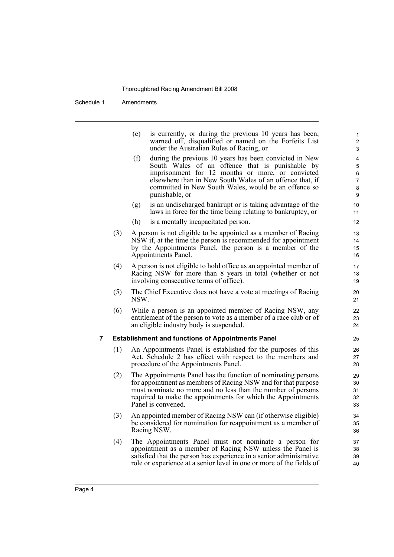Schedule 1 Amendments

i.

|   |     | (e)  | is currently, or during the previous 10 years has been,<br>warned off, disqualified or named on the Forfeits List<br>under the Australian Rules of Racing, or                                                                                                                                       | 1<br>$\overline{\mathbf{c}}$<br>3             |
|---|-----|------|-----------------------------------------------------------------------------------------------------------------------------------------------------------------------------------------------------------------------------------------------------------------------------------------------------|-----------------------------------------------|
|   |     | (f)  | during the previous 10 years has been convicted in New<br>South Wales of an offence that is punishable by<br>imprisonment for 12 months or more, or convicted<br>elsewhere than in New South Wales of an offence that, if<br>committed in New South Wales, would be an offence so<br>punishable, or | 4<br>5<br>$\,6\,$<br>$\overline{7}$<br>8<br>9 |
|   |     | (g)  | is an undischarged bankrupt or is taking advantage of the<br>laws in force for the time being relating to bankruptcy, or                                                                                                                                                                            | 10<br>11                                      |
|   |     | (h)  | is a mentally incapacitated person.                                                                                                                                                                                                                                                                 | 12                                            |
|   | (3) |      | A person is not eligible to be appointed as a member of Racing<br>NSW if, at the time the person is recommended for appointment<br>by the Appointments Panel, the person is a member of the<br>Appointments Panel.                                                                                  | 13<br>14<br>15<br>16                          |
|   | (4) |      | A person is not eligible to hold office as an appointed member of<br>Racing NSW for more than 8 years in total (whether or not<br>involving consecutive terms of office).                                                                                                                           | 17<br>18<br>19                                |
|   | (5) | NSW. | The Chief Executive does not have a vote at meetings of Racing                                                                                                                                                                                                                                      | 20<br>21                                      |
|   | (6) |      | While a person is an appointed member of Racing NSW, any<br>entitlement of the person to vote as a member of a race club or of<br>an eligible industry body is suspended.                                                                                                                           | 22<br>23<br>24                                |
| 7 |     |      | <b>Establishment and functions of Appointments Panel</b>                                                                                                                                                                                                                                            | 25                                            |
|   | (1) |      | An Appointments Panel is established for the purposes of this<br>Act. Schedule 2 has effect with respect to the members and<br>procedure of the Appointments Panel.                                                                                                                                 | 26<br>27<br>28                                |
|   | (2) |      | The Appointments Panel has the function of nominating persons<br>for appointment as members of Racing NSW and for that purpose<br>must nominate no more and no less than the number of persons<br>required to make the appointments for which the Appointments<br>Panel is convened.                | 29<br>30<br>31<br>32<br>33                    |
|   | (3) |      | An appointed member of Racing NSW can (if otherwise eligible)<br>be considered for nomination for reappointment as a member of<br>Racing NSW.                                                                                                                                                       | 34<br>35<br>36                                |
|   | (4) |      | The Appointments Panel must not nominate a person for<br>appointment as a member of Racing NSW unless the Panel is<br>satisfied that the person has experience in a senior administrative<br>role or experience at a senior level in one or more of the fields of                                   | 37<br>38<br>39<br>40                          |
|   |     |      |                                                                                                                                                                                                                                                                                                     |                                               |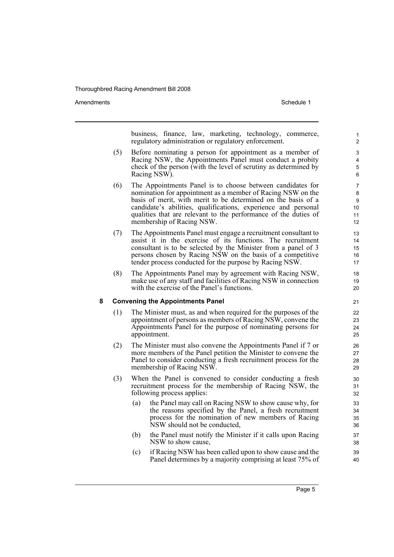Amendments **Amendments** Schedule 1

business, finance, law, marketing, technology, commerce, regulatory administration or regulatory enforcement.

- (5) Before nominating a person for appointment as a member of Racing NSW, the Appointments Panel must conduct a probity check of the person (with the level of scrutiny as determined by Racing NSW).
- (6) The Appointments Panel is to choose between candidates for nomination for appointment as a member of Racing NSW on the basis of merit, with merit to be determined on the basis of a candidate's abilities, qualifications, experience and personal qualities that are relevant to the performance of the duties of membership of Racing NSW.
- (7) The Appointments Panel must engage a recruitment consultant to assist it in the exercise of its functions. The recruitment consultant is to be selected by the Minister from a panel of 3 persons chosen by Racing NSW on the basis of a competitive tender process conducted for the purpose by Racing NSW.
- (8) The Appointments Panel may by agreement with Racing NSW, make use of any staff and facilities of Racing NSW in connection with the exercise of the Panel's functions.

#### **8 Convening the Appointments Panel**

- (1) The Minister must, as and when required for the purposes of the appointment of persons as members of Racing NSW, convene the Appointments Panel for the purpose of nominating persons for appointment.
- (2) The Minister must also convene the Appointments Panel if 7 or more members of the Panel petition the Minister to convene the Panel to consider conducting a fresh recruitment process for the membership of Racing NSW.
- (3) When the Panel is convened to consider conducting a fresh recruitment process for the membership of Racing NSW, the following process applies:
	- (a) the Panel may call on Racing NSW to show cause why, for the reasons specified by the Panel, a fresh recruitment process for the nomination of new members of Racing NSW should not be conducted,
	- (b) the Panel must notify the Minister if it calls upon Racing NSW to show cause,
	- (c) if Racing NSW has been called upon to show cause and the Panel determines by a majority comprising at least 75% of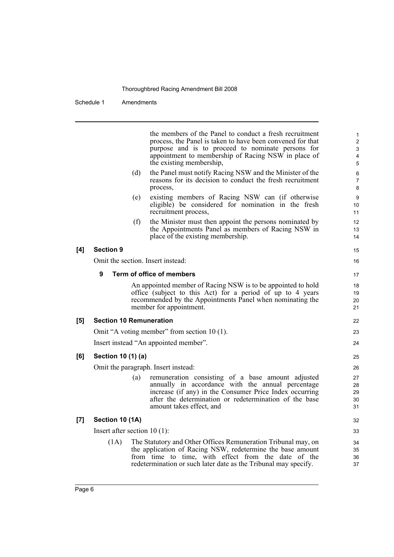Schedule 1 Amendments

the members of the Panel to conduct a fresh recruitment process, the Panel is taken to have been convened for that purpose and is to proceed to nominate persons for appointment to membership of Racing NSW in place of the existing membership, (d) the Panel must notify Racing NSW and the Minister of the reasons for its decision to conduct the fresh recruitment process, (e) existing members of Racing NSW can (if otherwise eligible) be considered for nomination in the fresh recruitment process, (f) the Minister must then appoint the persons nominated by the Appointments Panel as members of Racing NSW in place of the existing membership. **[4] Section 9** Omit the section. Insert instead: **9 Term of office of members** An appointed member of Racing NSW is to be appointed to hold office (subject to this Act) for a period of up to 4 years recommended by the Appointments Panel when nominating the member for appointment. **[5] Section 10 Remuneration** Omit "A voting member" from section 10 (1). Insert instead "An appointed member". **[6] Section 10 (1) (a)** Omit the paragraph. Insert instead: (a) remuneration consisting of a base amount adjusted annually in accordance with the annual percentage increase (if any) in the Consumer Price Index occurring after the determination or redetermination of the base amount takes effect, and **[7] Section 10 (1A)** Insert after section 10 (1): (1A) The Statutory and Other Offices Remuneration Tribunal may, on the application of Racing NSW, redetermine the base amount from time to time, with effect from the date of the redetermination or such later date as the Tribunal may specify. 1 2 3 4 5 6 7 8  $\alpha$ 10 11 12 13 14 15 16 17 18 19  $20$ 21 22 23 24 25 26 27 28 29 30 31 32 33 34 35 36 37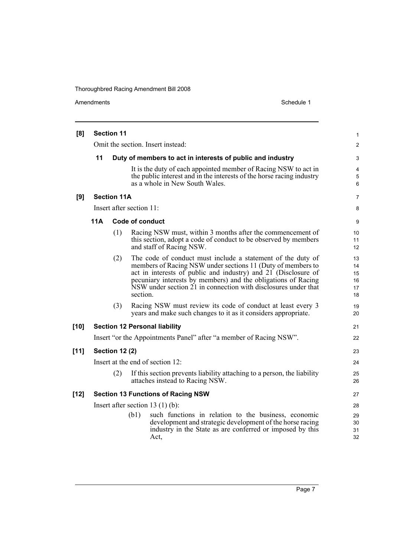| [8]    | <b>Section 11</b> |                       |                          |                                                                                                                                                                                                                                                                                                                                 |                                  |  |  |
|--------|-------------------|-----------------------|--------------------------|---------------------------------------------------------------------------------------------------------------------------------------------------------------------------------------------------------------------------------------------------------------------------------------------------------------------------------|----------------------------------|--|--|
|        |                   |                       |                          | Omit the section. Insert instead:                                                                                                                                                                                                                                                                                               | $\overline{2}$                   |  |  |
|        | 11                |                       |                          | Duty of members to act in interests of public and industry                                                                                                                                                                                                                                                                      | 3                                |  |  |
|        |                   |                       |                          | It is the duty of each appointed member of Racing NSW to act in<br>the public interest and in the interests of the horse racing industry<br>as a whole in New South Wales.                                                                                                                                                      | 4<br>5<br>6                      |  |  |
| [9]    |                   | <b>Section 11A</b>    |                          |                                                                                                                                                                                                                                                                                                                                 | 7                                |  |  |
|        |                   |                       | Insert after section 11: |                                                                                                                                                                                                                                                                                                                                 | 8                                |  |  |
|        | <b>11A</b>        |                       | <b>Code of conduct</b>   |                                                                                                                                                                                                                                                                                                                                 | 9                                |  |  |
|        |                   | (1)                   |                          | Racing NSW must, within 3 months after the commencement of<br>this section, adopt a code of conduct to be observed by members<br>and staff of Racing NSW.                                                                                                                                                                       | 10<br>11<br>12                   |  |  |
|        |                   | (2)                   | section.                 | The code of conduct must include a statement of the duty of<br>members of Racing NSW under sections 11 (Duty of members to<br>act in interests of public and industry) and 21 (Disclosure of<br>pecuniary interests by members) and the obligations of Racing<br>NSW under section 21 in connection with disclosures under that | 13<br>14<br>15<br>16<br>17<br>18 |  |  |
|        |                   | (3)                   |                          | Racing NSW must review its code of conduct at least every 3<br>years and make such changes to it as it considers appropriate.                                                                                                                                                                                                   | 19<br>20                         |  |  |
| $[10]$ |                   |                       |                          | <b>Section 12 Personal liability</b>                                                                                                                                                                                                                                                                                            | 21                               |  |  |
|        |                   |                       |                          | Insert "or the Appointments Panel" after "a member of Racing NSW".                                                                                                                                                                                                                                                              | 22                               |  |  |
| $[11]$ |                   | <b>Section 12 (2)</b> |                          |                                                                                                                                                                                                                                                                                                                                 | 23                               |  |  |
|        |                   |                       |                          | Insert at the end of section 12:                                                                                                                                                                                                                                                                                                | 24                               |  |  |
|        |                   | (2)                   |                          | If this section prevents liability attaching to a person, the liability<br>attaches instead to Racing NSW.                                                                                                                                                                                                                      | 25<br>26                         |  |  |
| $[12]$ |                   |                       |                          | <b>Section 13 Functions of Racing NSW</b>                                                                                                                                                                                                                                                                                       | 27                               |  |  |
|        |                   |                       |                          | Insert after section 13 $(1)$ (b):                                                                                                                                                                                                                                                                                              | 28                               |  |  |
|        |                   |                       | (b1)                     | such functions in relation to the business, economic<br>development and strategic development of the horse racing<br>industry in the State as are conferred or imposed by this<br>Act,                                                                                                                                          | 29<br>30<br>31<br>32             |  |  |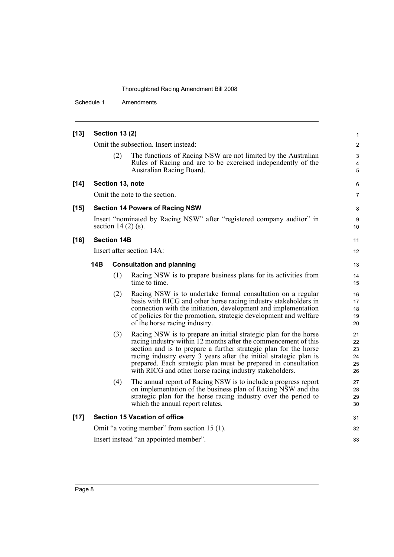Schedule 1 Amendments

| $[13]$ |            | <b>Section 13 (2)</b> |                                                                                                                                                                                                                                                                                                                                                                                                           | 1                                |
|--------|------------|-----------------------|-----------------------------------------------------------------------------------------------------------------------------------------------------------------------------------------------------------------------------------------------------------------------------------------------------------------------------------------------------------------------------------------------------------|----------------------------------|
|        |            |                       | Omit the subsection. Insert instead:                                                                                                                                                                                                                                                                                                                                                                      | $\overline{c}$                   |
|        |            | (2)                   | The functions of Racing NSW are not limited by the Australian<br>Rules of Racing and are to be exercised independently of the<br>Australian Racing Board.                                                                                                                                                                                                                                                 | 3<br>4<br>5                      |
| $[14]$ |            |                       | Section 13, note                                                                                                                                                                                                                                                                                                                                                                                          | 6                                |
|        |            |                       | Omit the note to the section.                                                                                                                                                                                                                                                                                                                                                                             | 7                                |
| $[15]$ |            |                       | <b>Section 14 Powers of Racing NSW</b>                                                                                                                                                                                                                                                                                                                                                                    | 8                                |
|        |            |                       | Insert "nominated by Racing NSW" after "registered company auditor" in<br>section 14 $(2)$ (s).                                                                                                                                                                                                                                                                                                           | 9<br>10                          |
| $[16]$ |            | <b>Section 14B</b>    |                                                                                                                                                                                                                                                                                                                                                                                                           | 11                               |
|        |            |                       | Insert after section 14A:                                                                                                                                                                                                                                                                                                                                                                                 | 12                               |
|        | <b>14B</b> |                       | <b>Consultation and planning</b>                                                                                                                                                                                                                                                                                                                                                                          | 13                               |
|        |            | (1)                   | Racing NSW is to prepare business plans for its activities from<br>time to time.                                                                                                                                                                                                                                                                                                                          | 14<br>15                         |
|        |            | (2)                   | Racing NSW is to undertake formal consultation on a regular<br>basis with RICG and other horse racing industry stakeholders in<br>connection with the initiation, development and implementation<br>of policies for the promotion, strategic development and welfare<br>of the horse racing industry.                                                                                                     | 16<br>17<br>18<br>19<br>20       |
|        |            | (3)                   | Racing NSW is to prepare an initial strategic plan for the horse<br>racing industry within 12 months after the commencement of this<br>section and is to prepare a further strategic plan for the horse<br>racing industry every 3 years after the initial strategic plan is<br>prepared. Each strategic plan must be prepared in consultation<br>with RICG and other horse racing industry stakeholders. | 21<br>22<br>23<br>24<br>25<br>26 |
|        |            | (4)                   | The annual report of Racing NSW is to include a progress report<br>on implementation of the business plan of Racing NSW and the<br>strategic plan for the horse racing industry over the period to<br>which the annual report relates.                                                                                                                                                                    | 27<br>28<br>29<br>30             |
| $[17]$ |            |                       | <b>Section 15 Vacation of office</b>                                                                                                                                                                                                                                                                                                                                                                      | 31                               |
|        |            |                       | Omit "a voting member" from section 15 (1).                                                                                                                                                                                                                                                                                                                                                               | 32                               |
|        |            |                       | Insert instead "an appointed member".                                                                                                                                                                                                                                                                                                                                                                     | 33                               |
|        |            |                       |                                                                                                                                                                                                                                                                                                                                                                                                           |                                  |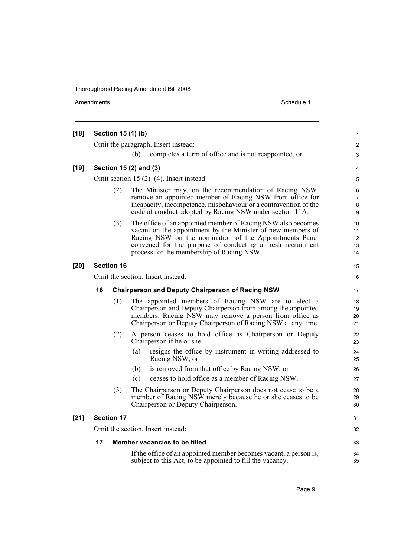| $[18]$ |                                                 |                   | Section 15 (1) (b)                                                                                                                                                                                                                                                                               | 1                             |  |  |  |
|--------|-------------------------------------------------|-------------------|--------------------------------------------------------------------------------------------------------------------------------------------------------------------------------------------------------------------------------------------------------------------------------------------------|-------------------------------|--|--|--|
|        |                                                 |                   | Omit the paragraph. Insert instead:                                                                                                                                                                                                                                                              | $\overline{\mathbf{c}}$       |  |  |  |
|        |                                                 |                   | completes a term of office and is not reappointed, or<br>(b)                                                                                                                                                                                                                                     | 3                             |  |  |  |
| $[19]$ |                                                 |                   | Section 15 (2) and (3)                                                                                                                                                                                                                                                                           | 4                             |  |  |  |
|        | Omit section 15 $(2)$ – $(4)$ . Insert instead: |                   |                                                                                                                                                                                                                                                                                                  |                               |  |  |  |
|        |                                                 | (2)               | The Minister may, on the recommendation of Racing NSW,<br>remove an appointed member of Racing NSW from office for<br>incapacity, incompetence, misbehaviour or a contravention of the<br>code of conduct adopted by Racing NSW under section 11A.                                               | 6<br>$\overline{7}$<br>8<br>9 |  |  |  |
|        |                                                 | (3)               | The office of an appointed member of Racing NSW also becomes<br>vacant on the appointment by the Minister of new members of<br>Racing NSW on the nomination of the Appointments Panel<br>convened for the purpose of conducting a fresh recruitment<br>process for the membership of Racing NSW. | 10<br>11<br>12<br>13<br>14    |  |  |  |
| $[20]$ |                                                 | <b>Section 16</b> |                                                                                                                                                                                                                                                                                                  | 15                            |  |  |  |
|        | Omit the section. Insert instead:               |                   |                                                                                                                                                                                                                                                                                                  |                               |  |  |  |
|        | 16                                              |                   | <b>Chairperson and Deputy Chairperson of Racing NSW</b>                                                                                                                                                                                                                                          | 17                            |  |  |  |
|        |                                                 | (1)               | The appointed members of Racing NSW are to elect a<br>Chairperson and Deputy Chairperson from among the appointed<br>members. Racing NSW may remove a person from office as<br>Chairperson or Deputy Chairperson of Racing NSW at any time.                                                      | 18<br>19<br>20<br>21          |  |  |  |
|        |                                                 | (2)               | A person ceases to hold office as Chairperson or Deputy<br>Chairperson if he or she:                                                                                                                                                                                                             | 22<br>23                      |  |  |  |
|        |                                                 |                   | resigns the office by instrument in writing addressed to<br>(a)<br>Racing NSW, or                                                                                                                                                                                                                | 24<br>25                      |  |  |  |
|        |                                                 |                   | is removed from that office by Racing NSW, or<br>(b)                                                                                                                                                                                                                                             | 26                            |  |  |  |
|        |                                                 |                   | ceases to hold office as a member of Racing NSW.<br>(c)                                                                                                                                                                                                                                          | 27                            |  |  |  |
|        |                                                 | (3)               | The Chairperson or Deputy Chairperson does not cease to be a<br>member of Racing NSW merely because he or she ceases to be<br>Chairperson or Deputy Chairperson.                                                                                                                                 | 28<br>29<br>30                |  |  |  |
| $[21]$ |                                                 | <b>Section 17</b> |                                                                                                                                                                                                                                                                                                  | 31                            |  |  |  |
|        |                                                 |                   | Omit the section. Insert instead:                                                                                                                                                                                                                                                                | 32                            |  |  |  |
|        | 17                                              |                   | Member vacancies to be filled                                                                                                                                                                                                                                                                    | 33                            |  |  |  |
|        |                                                 |                   | If the office of an appointed member becomes vacant, a person is,<br>subject to this Act, to be appointed to fill the vacancy.                                                                                                                                                                   | 34<br>35                      |  |  |  |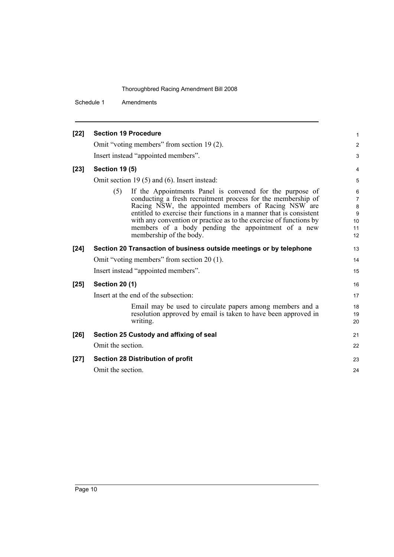Schedule 1 Amendments

| $[22]$ | <b>Section 19 Procedure</b>                                                                                                                                                                                                                                                                                                                                                                                          | 1                                               |
|--------|----------------------------------------------------------------------------------------------------------------------------------------------------------------------------------------------------------------------------------------------------------------------------------------------------------------------------------------------------------------------------------------------------------------------|-------------------------------------------------|
|        | Omit "voting members" from section 19(2).                                                                                                                                                                                                                                                                                                                                                                            | $\overline{2}$                                  |
|        | Insert instead "appointed members".                                                                                                                                                                                                                                                                                                                                                                                  | 3                                               |
| $[23]$ | <b>Section 19 (5)</b>                                                                                                                                                                                                                                                                                                                                                                                                | 4                                               |
|        | Omit section 19 $(5)$ and $(6)$ . Insert instead:                                                                                                                                                                                                                                                                                                                                                                    | 5                                               |
|        | If the Appointments Panel is convened for the purpose of<br>(5)<br>conducting a fresh recruitment process for the membership of<br>Racing NSW, the appointed members of Racing NSW are<br>entitled to exercise their functions in a manner that is consistent<br>with any convention or practice as to the exercise of functions by<br>members of a body pending the appointment of a new<br>membership of the body. | 6<br>$\overline{7}$<br>8<br>9<br>10<br>11<br>12 |
| $[24]$ | Section 20 Transaction of business outside meetings or by telephone                                                                                                                                                                                                                                                                                                                                                  | 13                                              |
|        | Omit "voting members" from section 20 (1).                                                                                                                                                                                                                                                                                                                                                                           | 14                                              |
|        | Insert instead "appointed members".                                                                                                                                                                                                                                                                                                                                                                                  | 15                                              |
| $[25]$ | <b>Section 20 (1)</b>                                                                                                                                                                                                                                                                                                                                                                                                | 16                                              |
|        | Insert at the end of the subsection:                                                                                                                                                                                                                                                                                                                                                                                 | 17                                              |
|        | Email may be used to circulate papers among members and a<br>resolution approved by email is taken to have been approved in<br>writing.                                                                                                                                                                                                                                                                              | 18<br>19<br>20                                  |
| $[26]$ | Section 25 Custody and affixing of seal                                                                                                                                                                                                                                                                                                                                                                              | 21                                              |
|        | Omit the section.                                                                                                                                                                                                                                                                                                                                                                                                    | 22                                              |
| $[27]$ | <b>Section 28 Distribution of profit</b>                                                                                                                                                                                                                                                                                                                                                                             | 23                                              |
|        | Omit the section.                                                                                                                                                                                                                                                                                                                                                                                                    | 24                                              |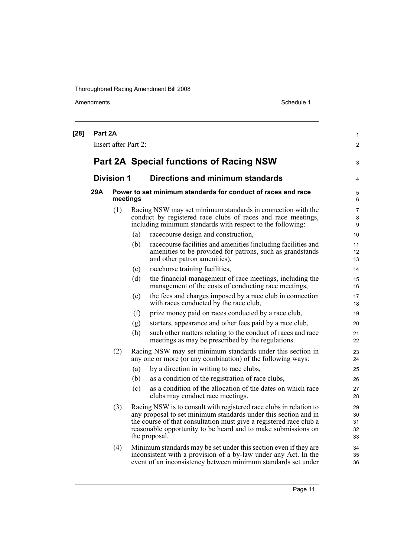| $[28]$ | Part 2A |                      |     |                                                                                                                                                                                                                                                                                               | 1                          |
|--------|---------|----------------------|-----|-----------------------------------------------------------------------------------------------------------------------------------------------------------------------------------------------------------------------------------------------------------------------------------------------|----------------------------|
|        |         | Insert after Part 2: |     |                                                                                                                                                                                                                                                                                               | $\overline{2}$             |
|        |         |                      |     | <b>Part 2A Special functions of Racing NSW</b>                                                                                                                                                                                                                                                | 3                          |
|        |         | <b>Division 1</b>    |     | <b>Directions and minimum standards</b>                                                                                                                                                                                                                                                       | 4                          |
|        | 29A     | meetings             |     | Power to set minimum standards for conduct of races and race                                                                                                                                                                                                                                  | 5<br>6                     |
|        |         | (1)                  |     | Racing NSW may set minimum standards in connection with the<br>conduct by registered race clubs of races and race meetings,<br>including minimum standards with respect to the following:                                                                                                     | 7<br>8<br>9                |
|        |         |                      | (a) | racecourse design and construction,                                                                                                                                                                                                                                                           | 10                         |
|        |         |                      | (b) | race course facilities and amenities (including facilities and<br>amenities to be provided for patrons, such as grandstands<br>and other patron amenities),                                                                                                                                   | 11<br>12<br>13             |
|        |         |                      | (c) | racehorse training facilities,                                                                                                                                                                                                                                                                | 14                         |
|        |         |                      | (d) | the financial management of race meetings, including the<br>management of the costs of conducting race meetings,                                                                                                                                                                              | 15<br>16                   |
|        |         |                      | (e) | the fees and charges imposed by a race club in connection<br>with races conducted by the race club,                                                                                                                                                                                           | 17<br>18                   |
|        |         |                      | (f) | prize money paid on races conducted by a race club,                                                                                                                                                                                                                                           | 19                         |
|        |         |                      | (g) | starters, appearance and other fees paid by a race club,                                                                                                                                                                                                                                      | 20                         |
|        |         |                      | (h) | such other matters relating to the conduct of races and race<br>meetings as may be prescribed by the regulations.                                                                                                                                                                             | 21<br>22                   |
|        |         | (2)                  |     | Racing NSW may set minimum standards under this section in<br>any one or more (or any combination) of the following ways:                                                                                                                                                                     | 23<br>24                   |
|        |         |                      | (a) | by a direction in writing to race clubs,                                                                                                                                                                                                                                                      | 25                         |
|        |         |                      | (b) | as a condition of the registration of race clubs,                                                                                                                                                                                                                                             | 26                         |
|        |         |                      | (c) | as a condition of the allocation of the dates on which race<br>clubs may conduct race meetings.                                                                                                                                                                                               | 27<br>28                   |
|        |         | (3)                  |     | Racing NSW is to consult with registered race clubs in relation to<br>any proposal to set minimum standards under this section and in<br>the course of that consultation must give a registered race club a<br>reasonable opportunity to be heard and to make submissions on<br>the proposal. | 29<br>30<br>31<br>32<br>33 |
|        |         | (4)                  |     | Minimum standards may be set under this section even if they are<br>inconsistent with a provision of a by-law under any Act. In the<br>event of an inconsistency between minimum standards set under                                                                                          | 34<br>35<br>36             |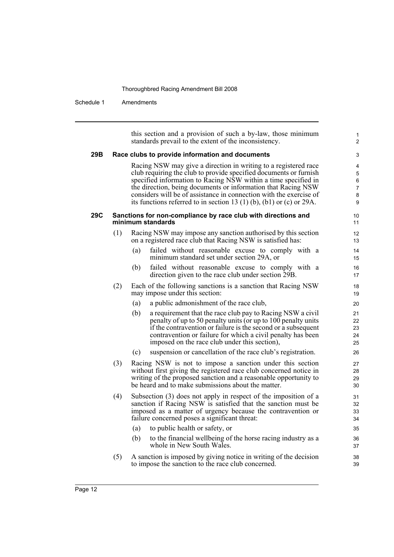## Schedule 1 Amendments

|     |     |     | this section and a provision of such a by-law, those minimum<br>standards prevail to the extent of the inconsistency.                                                                                                                                                                                                                                                                                                 | 1<br>$\overline{2}$                       |
|-----|-----|-----|-----------------------------------------------------------------------------------------------------------------------------------------------------------------------------------------------------------------------------------------------------------------------------------------------------------------------------------------------------------------------------------------------------------------------|-------------------------------------------|
| 29B |     |     | Race clubs to provide information and documents                                                                                                                                                                                                                                                                                                                                                                       | 3                                         |
|     |     |     | Racing NSW may give a direction in writing to a registered race<br>club requiring the club to provide specified documents or furnish<br>specified information to Racing NSW within a time specified in<br>the direction, being documents or information that Racing NSW<br>considers will be of assistance in connection with the exercise of<br>its functions referred to in section 13 (1) (b), (b1) or (c) or 29A. | 4<br>5<br>6<br>$\boldsymbol{7}$<br>8<br>9 |
| 29C |     |     | Sanctions for non-compliance by race club with directions and<br>minimum standards                                                                                                                                                                                                                                                                                                                                    | 10<br>11                                  |
|     | (1) |     | Racing NSW may impose any sanction authorised by this section<br>on a registered race club that Racing NSW is satisfied has:                                                                                                                                                                                                                                                                                          | 12<br>13                                  |
|     |     | (a) | failed without reasonable excuse to comply with a<br>minimum standard set under section 29A, or                                                                                                                                                                                                                                                                                                                       | 14<br>15                                  |
|     |     | (b) | failed without reasonable excuse to comply with a<br>direction given to the race club under section 29B.                                                                                                                                                                                                                                                                                                              | 16<br>17                                  |
|     | (2) |     | Each of the following sanctions is a sanction that Racing NSW<br>may impose under this section:                                                                                                                                                                                                                                                                                                                       | 18<br>19                                  |
|     |     | (a) | a public admonishment of the race club,                                                                                                                                                                                                                                                                                                                                                                               | 20                                        |
|     |     | (b) | a requirement that the race club pay to Racing NSW a civil<br>penalty of up to 50 penalty units (or up to 100 penalty units<br>if the contravention or failure is the second or a subsequent<br>contravention or failure for which a civil penalty has been<br>imposed on the race club under this section),                                                                                                          | 21<br>22<br>23<br>24<br>25                |
|     |     | (c) | suspension or cancellation of the race club's registration.                                                                                                                                                                                                                                                                                                                                                           | 26                                        |
|     | (3) |     | Racing NSW is not to impose a sanction under this section<br>without first giving the registered race club concerned notice in<br>writing of the proposed sanction and a reasonable opportunity to<br>be heard and to make submissions about the matter.                                                                                                                                                              | 27<br>28<br>29<br>30                      |
|     | (4) |     | Subsection (3) does not apply in respect of the imposition of a<br>sanction if Racing NSW is satisfied that the sanction must be<br>imposed as a matter of urgency because the contravention or<br>failure concerned poses a significant threat:                                                                                                                                                                      | 31<br>32<br>33<br>34                      |
|     |     | (a) | to public health or safety, or                                                                                                                                                                                                                                                                                                                                                                                        | 35                                        |
|     |     | (b) | to the financial wellbeing of the horse racing industry as a<br>whole in New South Wales.                                                                                                                                                                                                                                                                                                                             | 36<br>37                                  |
|     | (5) |     | A sanction is imposed by giving notice in writing of the decision<br>to impose the sanction to the race club concerned.                                                                                                                                                                                                                                                                                               | 38<br>39                                  |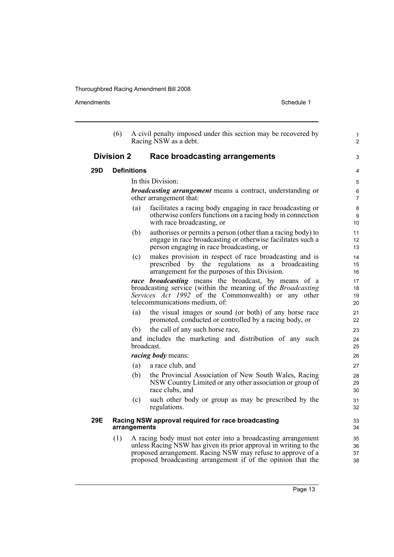Amendments Schedule 1

|     | (6)                |              | A civil penalty imposed under this section may be recovered by<br>Racing NSW as a debt.                                                                                                                                                                         | 1<br>$\overline{2}$         |
|-----|--------------------|--------------|-----------------------------------------------------------------------------------------------------------------------------------------------------------------------------------------------------------------------------------------------------------------|-----------------------------|
|     | <b>Division 2</b>  |              | Race broadcasting arrangements                                                                                                                                                                                                                                  | 3                           |
| 29D | <b>Definitions</b> |              |                                                                                                                                                                                                                                                                 | 4                           |
|     |                    |              | In this Division:                                                                                                                                                                                                                                               | 5                           |
|     |                    |              | <b>broadcasting arrangement</b> means a contract, understanding or<br>other arrangement that:                                                                                                                                                                   | 6<br>$\overline{7}$         |
|     |                    | (a)          | facilitates a racing body engaging in race broadcasting or<br>otherwise confers functions on a racing body in connection<br>with race broadcasting, or                                                                                                          | 8<br>9<br>10                |
|     |                    | (b)          | authorises or permits a person (other than a racing body) to<br>engage in race broadcasting or otherwise facilitates such a<br>person engaging in race broadcasting, or                                                                                         | 11<br>12 <sup>2</sup><br>13 |
|     |                    | (c)          | makes provision in respect of race broadcasting and is<br>prescribed by the regulations as a broadcasting<br>arrangement for the purposes of this Division.                                                                                                     | 14<br>15<br>16              |
|     |                    |              | race broadcasting means the broadcast, by means of a<br>broadcasting service (within the meaning of the <i>Broadcasting</i><br>Services Act 1992 of the Commonwealth) or any other<br>telecommunications medium, of:                                            | 17<br>18<br>19<br>20        |
|     |                    | (a)          | the visual images or sound (or both) of any horse race<br>promoted, conducted or controlled by a racing body, or                                                                                                                                                | 21<br>22                    |
|     |                    | (b)          | the call of any such horse race,                                                                                                                                                                                                                                | 23                          |
|     |                    |              | and includes the marketing and distribution of any such<br>broadcast.                                                                                                                                                                                           | 24<br>25                    |
|     |                    |              | <i>racing body</i> means:                                                                                                                                                                                                                                       | 26                          |
|     |                    | (a)          | a race club, and                                                                                                                                                                                                                                                | 27                          |
|     |                    | (b)          | the Provincial Association of New South Wales, Racing<br>NSW Country Limited or any other association or group of<br>race clubs, and                                                                                                                            | 28<br>29<br>30              |
|     |                    | (c)          | such other body or group as may be prescribed by the<br>regulations.                                                                                                                                                                                            | 31<br>32                    |
| 29E |                    | arrangements | Racing NSW approval required for race broadcasting                                                                                                                                                                                                              | 33<br>34                    |
|     | (1)                |              | A racing body must not enter into a broadcasting arrangement<br>unless Racing NSW has given its prior approval in writing to the<br>proposed arrangement. Racing NSW may refuse to approve of a<br>proposed broadcasting arrangement if of the opinion that the | 35<br>36<br>37<br>38        |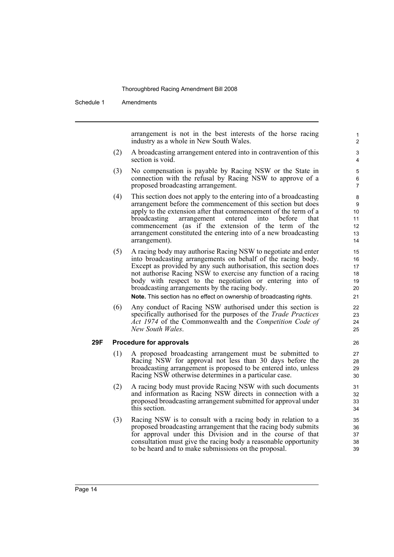Schedule 1 Amendments

arrangement is not in the best interests of the horse racing industry as a whole in New South Wales.

- (2) A broadcasting arrangement entered into in contravention of this section is void.
- (3) No compensation is payable by Racing NSW or the State in connection with the refusal by Racing NSW to approve of a proposed broadcasting arrangement.
- (4) This section does not apply to the entering into of a broadcasting arrangement before the commencement of this section but does apply to the extension after that commencement of the term of a broadcasting arrangement entered into before that commencement (as if the extension of the term of the arrangement constituted the entering into of a new broadcasting arrangement).
- (5) A racing body may authorise Racing NSW to negotiate and enter into broadcasting arrangements on behalf of the racing body. Except as provided by any such authorisation, this section does not authorise Racing NSW to exercise any function of a racing body with respect to the negotiation or entering into of broadcasting arrangements by the racing body.

**Note.** This section has no effect on ownership of broadcasting rights.

(6) Any conduct of Racing NSW authorised under this section is specifically authorised for the purposes of the *Trade Practices Act 1974* of the Commonwealth and the *Competition Code of New South Wales*.

#### **29F Procedure for approvals**

- (1) A proposed broadcasting arrangement must be submitted to Racing NSW for approval not less than 30 days before the broadcasting arrangement is proposed to be entered into, unless Racing NSW otherwise determines in a particular case.
- (2) A racing body must provide Racing NSW with such documents and information as Racing NSW directs in connection with a proposed broadcasting arrangement submitted for approval under this section.
- (3) Racing NSW is to consult with a racing body in relation to a proposed broadcasting arrangement that the racing body submits for approval under this Division and in the course of that consultation must give the racing body a reasonable opportunity to be heard and to make submissions on the proposal.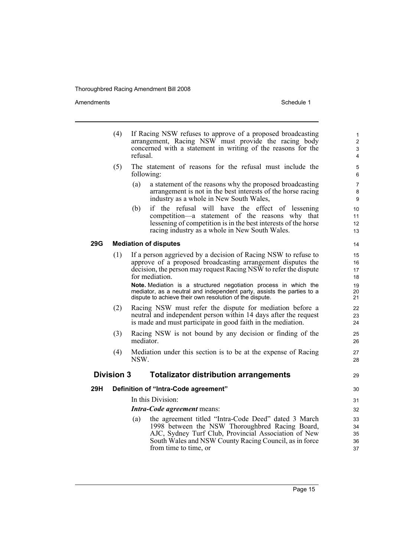|     | (4)               | If Racing NSW refuses to approve of a proposed broadcasting<br>arrangement, Racing NSW must provide the racing body<br>concerned with a statement in writing of the reasons for the<br>refusal.                                | $\mathbf{1}$<br>$\overline{2}$<br>3<br>4 |
|-----|-------------------|--------------------------------------------------------------------------------------------------------------------------------------------------------------------------------------------------------------------------------|------------------------------------------|
|     | (5)               | The statement of reasons for the refusal must include the<br>following:                                                                                                                                                        | 5<br>6                                   |
|     |                   | (a)<br>a statement of the reasons why the proposed broadcasting<br>arrangement is not in the best interests of the horse racing<br>industry as a whole in New South Wales,                                                     | $\overline{7}$<br>8<br>9                 |
|     |                   | if the refusal will have the effect of lessening<br>(b)<br>competition—a statement of the reasons why that<br>lessening of competition is in the best interests of the horse<br>racing industry as a whole in New South Wales. | 10<br>11<br>12<br>13                     |
| 29G |                   | <b>Mediation of disputes</b>                                                                                                                                                                                                   | 14                                       |
|     | (1)               | If a person aggrieved by a decision of Racing NSW to refuse to<br>approve of a proposed broadcasting arrangement disputes the<br>decision, the person may request Racing NSW to refer the dispute<br>for mediation.            | 15<br>16<br>17<br>18                     |
|     |                   | Note. Mediation is a structured negotiation process in which the<br>mediator, as a neutral and independent party, assists the parties to a<br>dispute to achieve their own resolution of the dispute.                          | 19<br>20<br>21                           |
|     | (2)               | Racing NSW must refer the dispute for mediation before a<br>neutral and independent person within 14 days after the request<br>is made and must participate in good faith in the mediation.                                    | 22<br>23<br>24                           |
|     | (3)               | Racing NSW is not bound by any decision or finding of the<br>mediator.                                                                                                                                                         | 25<br>26                                 |
|     | (4)               | Mediation under this section is to be at the expense of Racing<br>NSW.                                                                                                                                                         | 27<br>28                                 |
|     | <b>Division 3</b> | <b>Totalizator distribution arrangements</b>                                                                                                                                                                                   | 29                                       |
| 29H |                   | Definition of "Intra-Code agreement"                                                                                                                                                                                           | 30                                       |
|     |                   | In this Division:                                                                                                                                                                                                              | 31                                       |
|     |                   | Intra-Code agreement means:                                                                                                                                                                                                    | 32                                       |
|     |                   | the agreement titled "Intra-Code Deed" dated 3 March<br>(a)                                                                                                                                                                    | 33                                       |
|     |                   | 1998 between the NSW Thoroughbred Racing Board,<br>AJC, Sydney Turf Club, Provincial Association of New                                                                                                                        | 34<br>35                                 |
|     |                   | South Wales and NSW County Racing Council, as in force                                                                                                                                                                         | 36                                       |
|     |                   | from time to time, or                                                                                                                                                                                                          | 37                                       |
|     |                   |                                                                                                                                                                                                                                |                                          |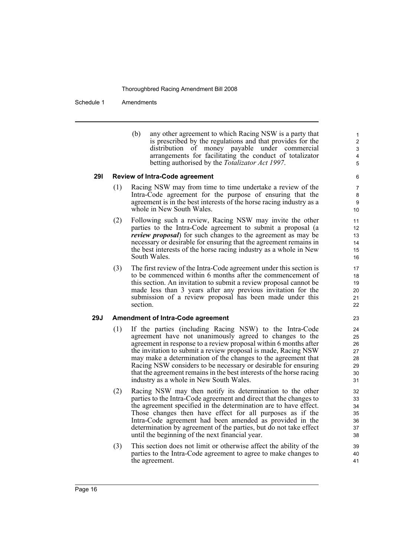Schedule 1 Amendments

(b) any other agreement to which Racing NSW is a party that is prescribed by the regulations and that provides for the distribution of money payable under commercial arrangements for facilitating the conduct of totalizator betting authorised by the *Totalizator Act 1997*.

#### **29I Review of Intra-Code agreement**

- (1) Racing NSW may from time to time undertake a review of the Intra-Code agreement for the purpose of ensuring that the agreement is in the best interests of the horse racing industry as a whole in New South Wales.
- (2) Following such a review, Racing NSW may invite the other parties to the Intra-Code agreement to submit a proposal (a *review proposal*) for such changes to the agreement as may be necessary or desirable for ensuring that the agreement remains in the best interests of the horse racing industry as a whole in New South Wales.
- (3) The first review of the Intra-Code agreement under this section is to be commenced within 6 months after the commencement of this section. An invitation to submit a review proposal cannot be made less than 3 years after any previous invitation for the submission of a review proposal has been made under this section.

#### **29J Amendment of Intra-Code agreement**

- (1) If the parties (including Racing NSW) to the Intra-Code agreement have not unanimously agreed to changes to the agreement in response to a review proposal within 6 months after the invitation to submit a review proposal is made, Racing NSW may make a determination of the changes to the agreement that Racing NSW considers to be necessary or desirable for ensuring that the agreement remains in the best interests of the horse racing industry as a whole in New South Wales.
- (2) Racing NSW may then notify its determination to the other parties to the Intra-Code agreement and direct that the changes to the agreement specified in the determination are to have effect. Those changes then have effect for all purposes as if the Intra-Code agreement had been amended as provided in the determination by agreement of the parties, but do not take effect until the beginning of the next financial year.
- (3) This section does not limit or otherwise affect the ability of the parties to the Intra-Code agreement to agree to make changes to the agreement.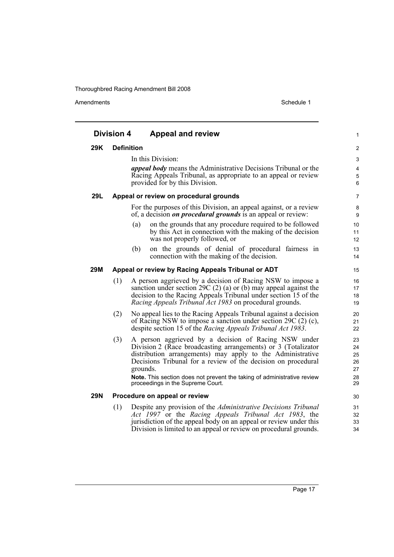|            | <b>Division 4</b> | <b>Appeal and review</b>                                                                                                                                                                                                                                                                                                                                                         | 1                                      |
|------------|-------------------|----------------------------------------------------------------------------------------------------------------------------------------------------------------------------------------------------------------------------------------------------------------------------------------------------------------------------------------------------------------------------------|----------------------------------------|
| 29K        | <b>Definition</b> |                                                                                                                                                                                                                                                                                                                                                                                  | $\overline{c}$                         |
|            |                   | In this Division:                                                                                                                                                                                                                                                                                                                                                                | 3                                      |
|            |                   | <i>appeal body</i> means the Administrative Decisions Tribunal or the<br>Racing Appeals Tribunal, as appropriate to an appeal or review<br>provided for by this Division.                                                                                                                                                                                                        | 4<br>5<br>6                            |
| 29L        |                   | Appeal or review on procedural grounds                                                                                                                                                                                                                                                                                                                                           | 7                                      |
|            |                   | For the purposes of this Division, an appeal against, or a review<br>of, a decision <i>on procedural grounds</i> is an appeal or review:                                                                                                                                                                                                                                         | 8<br>9                                 |
|            |                   | on the grounds that any procedure required to be followed<br>(a)<br>by this Act in connection with the making of the decision<br>was not properly followed, or                                                                                                                                                                                                                   | 10<br>11<br>12                         |
|            |                   | on the grounds of denial of procedural fairness in<br>(b)<br>connection with the making of the decision.                                                                                                                                                                                                                                                                         | 13<br>14                               |
| <b>29M</b> |                   | Appeal or review by Racing Appeals Tribunal or ADT                                                                                                                                                                                                                                                                                                                               | 15                                     |
|            | (1)               | A person aggrieved by a decision of Racing NSW to impose a<br>sanction under section 29C $(2)$ (a) or (b) may appeal against the<br>decision to the Racing Appeals Tribunal under section 15 of the<br>Racing Appeals Tribunal Act 1983 on procedural grounds.                                                                                                                   | 16<br>17<br>18<br>19                   |
|            | (2)               | No appeal lies to the Racing Appeals Tribunal against a decision<br>of Racing NSW to impose a sanction under section 29C $(2)$ $(c)$ ,<br>despite section 15 of the Racing Appeals Tribunal Act 1983.                                                                                                                                                                            | 20<br>21<br>22                         |
|            | (3)               | A person aggrieved by a decision of Racing NSW under<br>Division 2 (Race broadcasting arrangements) or 3 (Totalizator<br>distribution arrangements) may apply to the Administrative<br>Decisions Tribunal for a review of the decision on procedural<br>grounds.<br>Note. This section does not prevent the taking of administrative review<br>proceedings in the Supreme Court. | 23<br>24<br>25<br>26<br>27<br>28<br>29 |
| <b>29N</b> |                   | Procedure on appeal or review                                                                                                                                                                                                                                                                                                                                                    | 30                                     |
|            | (1)               | Despite any provision of the Administrative Decisions Tribunal<br>Act 1997 or the Racing Appeals Tribunal Act 1983, the<br>jurisdiction of the appeal body on an appeal or review under this<br>Division is limited to an appeal or review on procedural grounds.                                                                                                                | 31<br>32<br>33<br>34                   |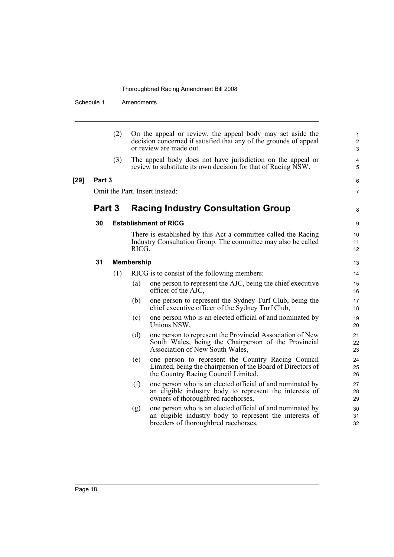Schedule 1 Amendments

|        |        | (2) |                   | On the appeal or review, the appeal body may set aside the<br>decision concerned if satisfied that any of the grounds of appeal<br>or review are made out.   | $\mathbf{1}$<br>$\overline{\mathbf{c}}$<br>3 |
|--------|--------|-----|-------------------|--------------------------------------------------------------------------------------------------------------------------------------------------------------|----------------------------------------------|
|        |        | (3) |                   | The appeal body does not have jurisdiction on the appeal or<br>review to substitute its own decision for that of Racing NSW.                                 | 4<br>5                                       |
| $[29]$ | Part 3 |     |                   |                                                                                                                                                              | 6                                            |
|        |        |     |                   | Omit the Part. Insert instead:                                                                                                                               | 7                                            |
|        | Part 3 |     |                   | <b>Racing Industry Consultation Group</b>                                                                                                                    | 8                                            |
|        | 30     |     |                   | <b>Establishment of RICG</b>                                                                                                                                 | 9                                            |
|        |        |     | RICG.             | There is established by this Act a committee called the Racing<br>Industry Consultation Group. The committee may also be called                              | 10<br>11<br>12                               |
|        | 31     |     | <b>Membership</b> |                                                                                                                                                              | 13                                           |
|        |        | (1) |                   | RICG is to consist of the following members:                                                                                                                 | 14                                           |
|        |        |     | (a)               | one person to represent the AJC, being the chief executive<br>officer of the AJC,                                                                            | 15<br>16                                     |
|        |        |     | (b)               | one person to represent the Sydney Turf Club, being the<br>chief executive officer of the Sydney Turf Club,                                                  | 17<br>18                                     |
|        |        |     | (c)               | one person who is an elected official of and nominated by<br>Unions NSW,                                                                                     | 19<br>20                                     |
|        |        |     | (d)               | one person to represent the Provincial Association of New<br>South Wales, being the Chairperson of the Provincial<br>Association of New South Wales,         | 21<br>22<br>23                               |
|        |        |     | (e)               | one person to represent the Country Racing Council<br>Limited, being the chairperson of the Board of Directors of<br>the Country Racing Council Limited,     | 24<br>25<br>26                               |
|        |        |     | (f)               | one person who is an elected official of and nominated by<br>an eligible industry body to represent the interests of<br>owners of thoroughbred racehorses,   | 27<br>28<br>29                               |
|        |        |     | (g)               | one person who is an elected official of and nominated by<br>an eligible industry body to represent the interests of<br>breeders of thoroughbred racehorses, | 30<br>31<br>32                               |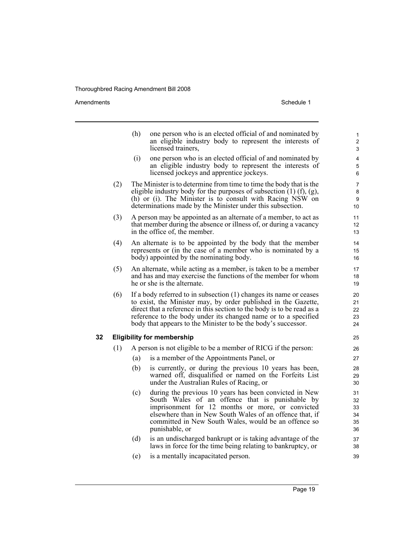Amendments Schedule 1

|    |     | (h) | one person who is an elected official of and nominated by<br>an eligible industry body to represent the interests of<br>licensed trainers,                                                                                                                                                                                                        | 1<br>$\overline{2}$<br>3         |
|----|-----|-----|---------------------------------------------------------------------------------------------------------------------------------------------------------------------------------------------------------------------------------------------------------------------------------------------------------------------------------------------------|----------------------------------|
|    |     | (i) | one person who is an elected official of and nominated by<br>an eligible industry body to represent the interests of<br>licensed jockeys and apprentice jockeys.                                                                                                                                                                                  | 4<br>5<br>6                      |
|    | (2) |     | The Minister is to determine from time to time the body that is the<br>eligible industry body for the purposes of subsection $(1)$ $(f)$ , $(g)$ ,<br>(h) or (i). The Minister is to consult with Racing NSW on<br>determinations made by the Minister under this subsection.                                                                     | $\overline{7}$<br>8<br>9<br>10   |
|    | (3) |     | A person may be appointed as an alternate of a member, to act as<br>that member during the absence or illness of, or during a vacancy<br>in the office of, the member.                                                                                                                                                                            | 11<br>12<br>13                   |
|    | (4) |     | An alternate is to be appointed by the body that the member<br>represents or (in the case of a member who is nominated by a<br>body) appointed by the nominating body.                                                                                                                                                                            | 14<br>15<br>16                   |
|    | (5) |     | An alternate, while acting as a member, is taken to be a member<br>and has and may exercise the functions of the member for whom<br>he or she is the alternate.                                                                                                                                                                                   | 17<br>18<br>19                   |
|    | (6) |     | If a body referred to in subsection (1) changes its name or ceases<br>to exist, the Minister may, by order published in the Gazette,<br>direct that a reference in this section to the body is to be read as a<br>reference to the body under its changed name or to a specified<br>body that appears to the Minister to be the body's successor. | 20<br>21<br>22<br>23<br>24       |
| 32 |     |     | <b>Eligibility for membership</b>                                                                                                                                                                                                                                                                                                                 | 25                               |
|    | (1) |     | A person is not eligible to be a member of RICG if the person:                                                                                                                                                                                                                                                                                    | 26                               |
|    |     | (a) | is a member of the Appointments Panel, or                                                                                                                                                                                                                                                                                                         | 27                               |
|    |     | (b) | is currently, or during the previous 10 years has been,<br>warned off, disqualified or named on the Forfeits List<br>under the Australian Rules of Racing, or                                                                                                                                                                                     | 28<br>29<br>30                   |
|    |     | (c) | during the previous 10 years has been convicted in New<br>South Wales of an offence that is punishable by<br>imprisonment for 12 months or more, or convicted<br>elsewhere than in New South Wales of an offence that, if<br>committed in New South Wales, would be an offence so<br>punishable, or                                               | 31<br>32<br>33<br>34<br>35<br>36 |
|    |     | (d) | is an undischarged bankrupt or is taking advantage of the<br>laws in force for the time being relating to bankruptcy, or                                                                                                                                                                                                                          | 37<br>38                         |
|    |     | (e) | is a mentally incapacitated person.                                                                                                                                                                                                                                                                                                               | 39                               |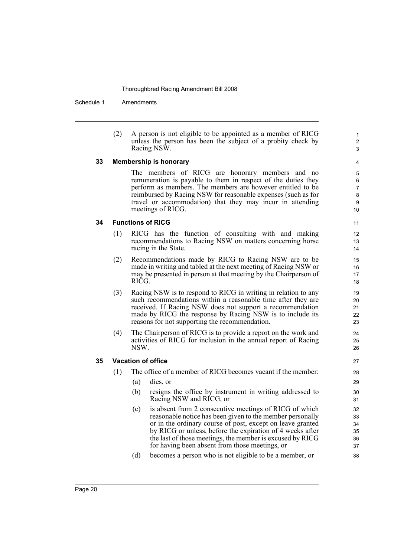Schedule 1 Amendments

| (2) | A person is not eligible to be appointed as a member of RICG |
|-----|--------------------------------------------------------------|
|     | unless the person has been the subject of a probity check by |
|     | Racing NSW.                                                  |

#### **33 Membership is honorary**

The members of RICG are honorary members and no remuneration is payable to them in respect of the duties they perform as members. The members are however entitled to be reimbursed by Racing NSW for reasonable expenses (such as for travel or accommodation) that they may incur in attending meetings of RICG.

#### **34 Functions of RICG**

- (1) RICG has the function of consulting with and making recommendations to Racing NSW on matters concerning horse racing in the State.
- (2) Recommendations made by RICG to Racing NSW are to be made in writing and tabled at the next meeting of Racing NSW or may be presented in person at that meeting by the Chairperson of RICG.
- (3) Racing NSW is to respond to RICG in writing in relation to any such recommendations within a reasonable time after they are received. If Racing NSW does not support a recommendation made by RICG the response by Racing NSW is to include its reasons for not supporting the recommendation.
- (4) The Chairperson of RICG is to provide a report on the work and activities of RICG for inclusion in the annual report of Racing NSW.

#### **35 Vacation of office**

- (1) The office of a member of RICG becomes vacant if the member:
	- (a) dies, or
	- (b) resigns the office by instrument in writing addressed to Racing NSW and RICG, or
	- (c) is absent from 2 consecutive meetings of RICG of which reasonable notice has been given to the member personally or in the ordinary course of post, except on leave granted by RICG or unless, before the expiration of 4 weeks after the last of those meetings, the member is excused by RICG for having been absent from those meetings, or
	- (d) becomes a person who is not eligible to be a member, or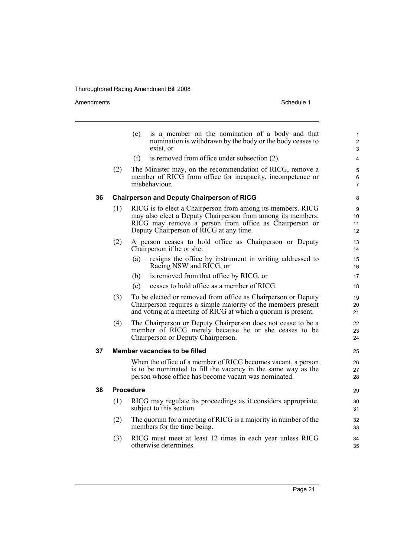|    |     | is a member on the nomination of a body and that<br>(e)<br>nomination is withdrawn by the body or the body ceases to<br>exist, or                                                                                               | $\mathbf{1}$<br>$\overline{2}$<br>3 |
|----|-----|---------------------------------------------------------------------------------------------------------------------------------------------------------------------------------------------------------------------------------|-------------------------------------|
|    |     | is removed from office under subsection (2).<br>(f)                                                                                                                                                                             | 4                                   |
|    | (2) | The Minister may, on the recommendation of RICG, remove a<br>member of RICG from office for incapacity, incompetence or<br>misbehaviour.                                                                                        | 5<br>6<br>$\overline{7}$            |
| 36 |     | <b>Chairperson and Deputy Chairperson of RICG</b>                                                                                                                                                                               | 8                                   |
|    | (1) | RICG is to elect a Chairperson from among its members. RICG<br>may also elect a Deputy Chairperson from among its members.<br>RICG may remove a person from office as Chairperson or<br>Deputy Chairperson of RICG at any time. | 9<br>10<br>11<br>12                 |
|    | (2) | A person ceases to hold office as Chairperson or Deputy<br>Chairperson if he or she:                                                                                                                                            | 13<br>14                            |
|    |     | resigns the office by instrument in writing addressed to<br>(a)<br>Racing NSW and RICG, or                                                                                                                                      | 15<br>16                            |
|    |     | is removed from that office by RICG, or<br>(b)                                                                                                                                                                                  | 17                                  |
|    |     | ceases to hold office as a member of RICG.<br>(c)                                                                                                                                                                               | 18                                  |
|    | (3) | To be elected or removed from office as Chairperson or Deputy<br>Chairperson requires a simple majority of the members present<br>and voting at a meeting of RICG at which a quorum is present.                                 | 19<br>20<br>21                      |
|    | (4) | The Chairperson or Deputy Chairperson does not cease to be a<br>member of RICG merely because he or she ceases to be<br>Chairperson or Deputy Chairperson.                                                                      | 22<br>23<br>24                      |
| 37 |     | <b>Member vacancies to be filled</b>                                                                                                                                                                                            | 25                                  |
|    |     | When the office of a member of RICG becomes vacant, a person<br>is to be nominated to fill the vacancy in the same way as the<br>person whose office has become vacant was nominated.                                           | 26<br>27<br>28                      |
| 38 |     | <b>Procedure</b>                                                                                                                                                                                                                | 29                                  |
|    | (1) | RICG may regulate its proceedings as it considers appropriate,<br>subject to this section.                                                                                                                                      | 30<br>31                            |
|    | (2) | The quorum for a meeting of RICG is a majority in number of the<br>members for the time being.                                                                                                                                  | 32<br>33                            |
|    | (3) | RICG must meet at least 12 times in each year unless RICG<br>otherwise determines.                                                                                                                                              | 34<br>35                            |
|    |     |                                                                                                                                                                                                                                 |                                     |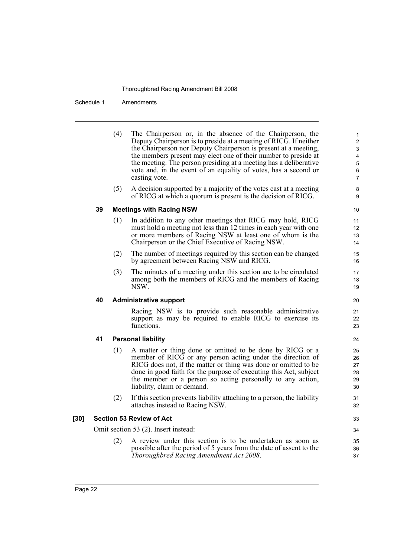Schedule 1 Amendments

|    | (4) | The Chairperson or, in the absence of the Chairperson, the<br>Deputy Chairperson is to preside at a meeting of RICG. If neither<br>the Chairperson nor Deputy Chairperson is present at a meeting,<br>the members present may elect one of their number to preside at<br>the meeting. The person presiding at a meeting has a deliberative<br>vote and, in the event of an equality of votes, has a second or<br>casting vote. |
|----|-----|--------------------------------------------------------------------------------------------------------------------------------------------------------------------------------------------------------------------------------------------------------------------------------------------------------------------------------------------------------------------------------------------------------------------------------|
|    | (5) | A decision supported by a majority of the votes cast at a meeting<br>of RICG at which a quorum is present is the decision of RICG.                                                                                                                                                                                                                                                                                             |
| 39 |     | <b>Meetings with Racing NSW</b>                                                                                                                                                                                                                                                                                                                                                                                                |
|    | (1) | In addition to any other meetings that RICG may hold, RICG<br>must hold a meeting not less than 12 times in each year with one<br>or more members of Racing NSW at least one of whom is the                                                                                                                                                                                                                                    |

- Chairperson or the Chief Executive of Racing NSW. (2) The number of meetings required by this section can be changed by agreement between Racing NSW and RICG.
- (3) The minutes of a meeting under this section are to be circulated among both the members of RICG and the members of Racing NSW.

#### **40 Administrative support**

Racing NSW is to provide such reasonable administrative support as may be required to enable RICG to exercise its functions.

## **41 Personal liability**

- (1) A matter or thing done or omitted to be done by RICG or a member of RICG or any person acting under the direction of RICG does not, if the matter or thing was done or omitted to be done in good faith for the purpose of executing this Act, subject the member or a person so acting personally to any action, liability, claim or demand.
- (2) If this section prevents liability attaching to a person, the liability attaches instead to Racing NSW.

#### **[30] Section 53 Review of Act**

Omit section 53 (2). Insert instead:

(2) A review under this section is to be undertaken as soon as possible after the period of 5 years from the date of assent to the *Thoroughbred Racing Amendment Act 2008*.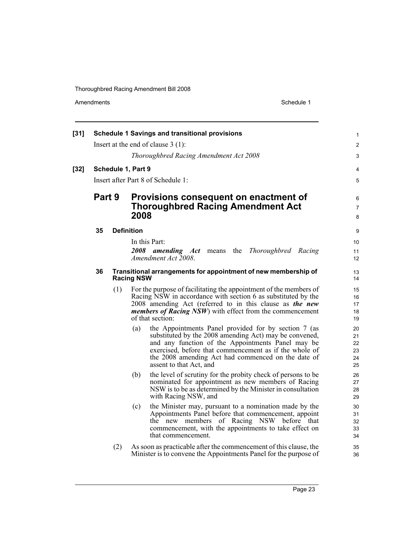| $[31]$ |        |     | <b>Schedule 1 Savings and transitional provisions</b>                                                                                                                                                                                                                                                                 | 1                                |
|--------|--------|-----|-----------------------------------------------------------------------------------------------------------------------------------------------------------------------------------------------------------------------------------------------------------------------------------------------------------------------|----------------------------------|
|        |        |     | Insert at the end of clause $3(1)$ :                                                                                                                                                                                                                                                                                  | $\overline{2}$                   |
|        |        |     | Thoroughbred Racing Amendment Act 2008                                                                                                                                                                                                                                                                                | 3                                |
| $[32]$ |        |     | Schedule 1, Part 9                                                                                                                                                                                                                                                                                                    | 4                                |
|        |        |     | Insert after Part 8 of Schedule 1:                                                                                                                                                                                                                                                                                    | 5                                |
|        | Part 9 |     | Provisions consequent on enactment of<br><b>Thoroughbred Racing Amendment Act</b><br>2008                                                                                                                                                                                                                             | 6<br>$\overline{7}$<br>8         |
|        | 35     |     | <b>Definition</b>                                                                                                                                                                                                                                                                                                     | 9                                |
|        |        |     | In this Part:                                                                                                                                                                                                                                                                                                         | 10                               |
|        |        |     | 2008<br>the<br>Thoroughbred Racing<br><i>amending Act</i> means<br>Amendment Act 2008.                                                                                                                                                                                                                                | 11<br>12                         |
|        | 36     |     | Transitional arrangements for appointment of new membership of<br><b>Racing NSW</b>                                                                                                                                                                                                                                   | 13<br>14                         |
|        |        | (1) | For the purpose of facilitating the appointment of the members of<br>Racing NSW in accordance with section 6 as substituted by the<br>2008 amending Act (referred to in this clause as the new<br><i>members of Racing NSW</i> ) with effect from the commencement<br>of that section:                                | 15<br>16<br>17<br>18<br>19       |
|        |        |     | (a)<br>the Appointments Panel provided for by section 7 (as<br>substituted by the 2008 amending Act) may be convened,<br>and any function of the Appointments Panel may be<br>exercised, before that commencement as if the whole of<br>the 2008 amending Act had commenced on the date of<br>assent to that Act, and | 20<br>21<br>22<br>23<br>24<br>25 |
|        |        |     | the level of scrutiny for the probity check of persons to be<br>(b)<br>nominated for appointment as new members of Racing<br>NSW is to be as determined by the Minister in consultation<br>with Racing NSW, and                                                                                                       | 26<br>27<br>28<br>29             |
|        |        |     | the Minister may, pursuant to a nomination made by the<br>(c)<br>Appointments Panel before that commencement, appoint<br>the new members of Racing NSW before that<br>commencement, with the appointments to take effect on<br>that commencement.                                                                     | 30<br>31<br>32<br>33<br>34       |
|        |        | (2) | As soon as practicable after the commencement of this clause, the<br>Minister is to convene the Appointments Panel for the purpose of                                                                                                                                                                                 | 35<br>36                         |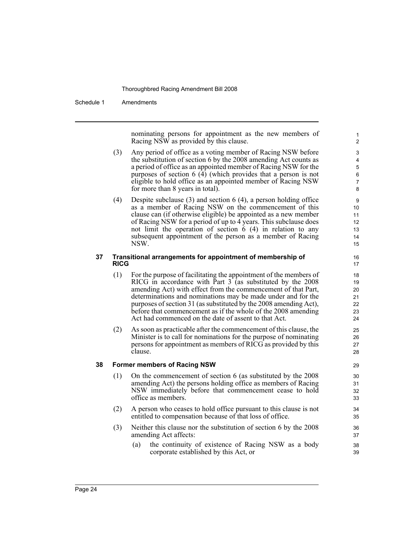#### Schedule 1 Amendments

nominating persons for appointment as the new members of Racing NSW as provided by this clause.

- (3) Any period of office as a voting member of Racing NSW before the substitution of section 6 by the 2008 amending Act counts as a period of office as an appointed member of Racing NSW for the purposes of section 6 (4) (which provides that a person is not eligible to hold office as an appointed member of Racing NSW for more than 8 years in total).
- (4) Despite subclause (3) and section 6 (4), a person holding office as a member of Racing NSW on the commencement of this clause can (if otherwise eligible) be appointed as a new member of Racing NSW for a period of up to 4 years. This subclause does not limit the operation of section 6 (4) in relation to any subsequent appointment of the person as a member of Racing NSW.

#### **37 Transitional arrangements for appointment of membership of RICG**

- (1) For the purpose of facilitating the appointment of the members of RICG in accordance with Part  $3$  (as substituted by the 2008 amending Act) with effect from the commencement of that Part, determinations and nominations may be made under and for the purposes of section 31 (as substituted by the 2008 amending Act), before that commencement as if the whole of the 2008 amending Act had commenced on the date of assent to that Act.
- (2) As soon as practicable after the commencement of this clause, the Minister is to call for nominations for the purpose of nominating persons for appointment as members of RICG as provided by this clause.

#### **38 Former members of Racing NSW**

- (1) On the commencement of section 6 (as substituted by the 2008 amending Act) the persons holding office as members of Racing NSW immediately before that commencement cease to hold office as members.
- (2) A person who ceases to hold office pursuant to this clause is not entitled to compensation because of that loss of office.
- (3) Neither this clause nor the substitution of section 6 by the 2008 amending Act affects:
	- (a) the continuity of existence of Racing NSW as a body corporate established by this Act, or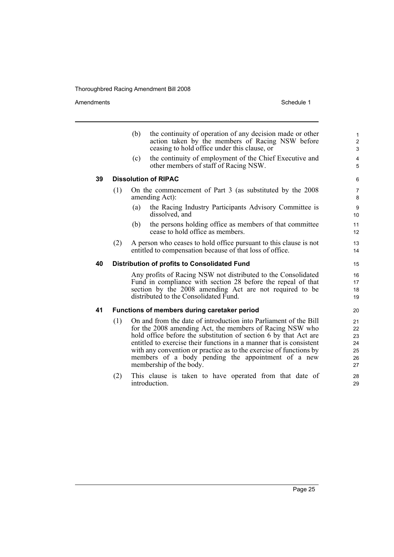Amendments Schedule 1

|    |     | (b) | the continuity of operation of any decision made or other<br>action taken by the members of Racing NSW before<br>ceasing to hold office under this clause, or                                                                                                                                                                                                                                                                  | $\mathbf{1}$<br>$\overline{c}$<br>3    |
|----|-----|-----|--------------------------------------------------------------------------------------------------------------------------------------------------------------------------------------------------------------------------------------------------------------------------------------------------------------------------------------------------------------------------------------------------------------------------------|----------------------------------------|
|    |     | (c) | the continuity of employment of the Chief Executive and<br>other members of staff of Racing NSW.                                                                                                                                                                                                                                                                                                                               | $\overline{\mathbf{4}}$<br>5           |
| 39 |     |     | <b>Dissolution of RIPAC</b>                                                                                                                                                                                                                                                                                                                                                                                                    | 6                                      |
|    | (1) |     | On the commencement of Part 3 (as substituted by the 2008)<br>amending Act):                                                                                                                                                                                                                                                                                                                                                   | $\overline{7}$<br>8                    |
|    |     | (a) | the Racing Industry Participants Advisory Committee is<br>dissolved, and                                                                                                                                                                                                                                                                                                                                                       | 9<br>10                                |
|    |     | (b) | the persons holding office as members of that committee<br>cease to hold office as members.                                                                                                                                                                                                                                                                                                                                    | 11<br>12                               |
|    | (2) |     | A person who ceases to hold office pursuant to this clause is not<br>entitled to compensation because of that loss of office.                                                                                                                                                                                                                                                                                                  | 13<br>14                               |
| 40 |     |     | Distribution of profits to Consolidated Fund                                                                                                                                                                                                                                                                                                                                                                                   | 15                                     |
|    |     |     | Any profits of Racing NSW not distributed to the Consolidated<br>Fund in compliance with section 28 before the repeal of that<br>section by the 2008 amending Act are not required to be<br>distributed to the Consolidated Fund.                                                                                                                                                                                              | 16<br>17<br>18<br>19                   |
| 41 |     |     | Functions of members during caretaker period                                                                                                                                                                                                                                                                                                                                                                                   | 20                                     |
|    | (1) |     | On and from the date of introduction into Parliament of the Bill<br>for the 2008 amending Act, the members of Racing NSW who<br>hold office before the substitution of section 6 by that Act are<br>entitled to exercise their functions in a manner that is consistent<br>with any convention or practice as to the exercise of functions by<br>members of a body pending the appointment of a new<br>membership of the body. | 21<br>22<br>23<br>24<br>25<br>26<br>27 |
|    | (2) |     | This clause is taken to have operated from that date of<br>introduction.                                                                                                                                                                                                                                                                                                                                                       | 28<br>29                               |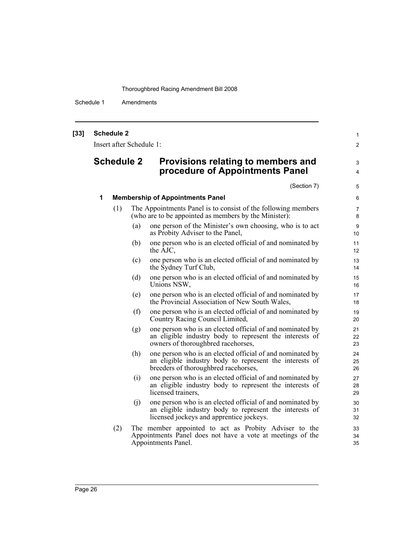Schedule 1 Amendments

| $[33]$ | <b>Schedule 2</b> |                          |                                                                                                                                                                  | $\mathbf{1}$         |  |  |  |  |
|--------|-------------------|--------------------------|------------------------------------------------------------------------------------------------------------------------------------------------------------------|----------------------|--|--|--|--|
|        |                   | Insert after Schedule 1: |                                                                                                                                                                  |                      |  |  |  |  |
|        | <b>Schedule 2</b> |                          | Provisions relating to members and<br>procedure of Appointments Panel                                                                                            |                      |  |  |  |  |
|        |                   |                          | (Section 7)                                                                                                                                                      | 5                    |  |  |  |  |
|        | 1                 |                          | <b>Membership of Appointments Panel</b>                                                                                                                          | 6                    |  |  |  |  |
|        | (1)               |                          | The Appointments Panel is to consist of the following members<br>(who are to be appointed as members by the Minister):                                           | $\overline{7}$<br>8  |  |  |  |  |
|        |                   | (a)                      | one person of the Minister's own choosing, who is to act<br>as Probity Adviser to the Panel,                                                                     | 9<br>10 <sup>°</sup> |  |  |  |  |
|        |                   | (b)                      | one person who is an elected official of and nominated by<br>the AJC,                                                                                            | 11<br>12             |  |  |  |  |
|        |                   | (c)                      | one person who is an elected official of and nominated by<br>the Sydney Turf Club,                                                                               | 13<br>14             |  |  |  |  |
|        |                   | (d)                      | one person who is an elected official of and nominated by<br>Unions NSW,                                                                                         | 15<br>16             |  |  |  |  |
|        |                   | (e)                      | one person who is an elected official of and nominated by<br>the Provincial Association of New South Wales,                                                      | 17<br>18             |  |  |  |  |
|        |                   | (f)                      | one person who is an elected official of and nominated by<br>Country Racing Council Limited,                                                                     | 19<br>20             |  |  |  |  |
|        |                   | (g)                      | one person who is an elected official of and nominated by<br>an eligible industry body to represent the interests of<br>owners of thoroughbred racehorses,       | 21<br>22<br>23       |  |  |  |  |
|        |                   | (h)                      | one person who is an elected official of and nominated by<br>an eligible industry body to represent the interests of<br>breeders of thoroughbred racehorses,     | 24<br>25<br>26       |  |  |  |  |
|        |                   | (i)                      | one person who is an elected official of and nominated by<br>an eligible industry body to represent the interests of<br>licensed trainers,                       | 27<br>28<br>29       |  |  |  |  |
|        |                   | (j)                      | one person who is an elected official of and nominated by<br>an eligible industry body to represent the interests of<br>licensed jockeys and apprentice jockeys. | 30<br>31<br>32       |  |  |  |  |
|        | (2)               |                          | The member appointed to act as Probity Adviser to the<br>Appointments Panel does not have a vote at meetings of the<br>Appointments Panel.                       | 33<br>34<br>35       |  |  |  |  |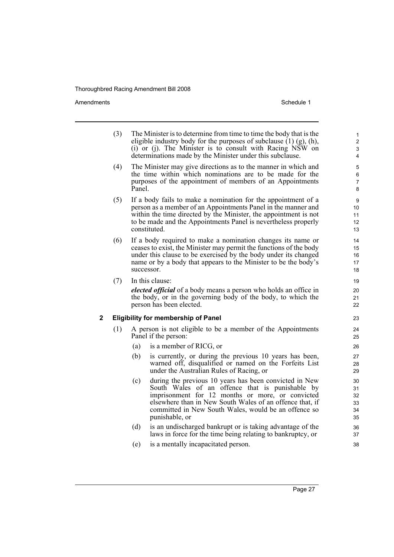Amendments **Amendments** Schedule 1

- (3) The Minister is to determine from time to time the body that is the eligible industry body for the purposes of subclause  $(1)$  (g), (h), (i) or (j). The Minister is to consult with Racing NSW on determinations made by the Minister under this subclause.
- (4) The Minister may give directions as to the manner in which and the time within which nominations are to be made for the purposes of the appointment of members of an Appointments Panel.
- (5) If a body fails to make a nomination for the appointment of a person as a member of an Appointments Panel in the manner and within the time directed by the Minister, the appointment is not to be made and the Appointments Panel is nevertheless properly constituted.
- (6) If a body required to make a nomination changes its name or ceases to exist, the Minister may permit the functions of the body under this clause to be exercised by the body under its changed name or by a body that appears to the Minister to be the body's successor.
- (7) In this clause:

*elected official* of a body means a person who holds an office in the body, or in the governing body of the body, to which the person has been elected.

#### **2 Eligibility for membership of Panel**

- (1) A person is not eligible to be a member of the Appointments Panel if the person:
	- (a) is a member of RICG, or
	- (b) is currently, or during the previous 10 years has been, warned off, disqualified or named on the Forfeits List under the Australian Rules of Racing, or
	- (c) during the previous 10 years has been convicted in New South Wales of an offence that is punishable by imprisonment for 12 months or more, or convicted elsewhere than in New South Wales of an offence that, if committed in New South Wales, would be an offence so punishable, or
	- (d) is an undischarged bankrupt or is taking advantage of the laws in force for the time being relating to bankruptcy, or
	- (e) is a mentally incapacitated person.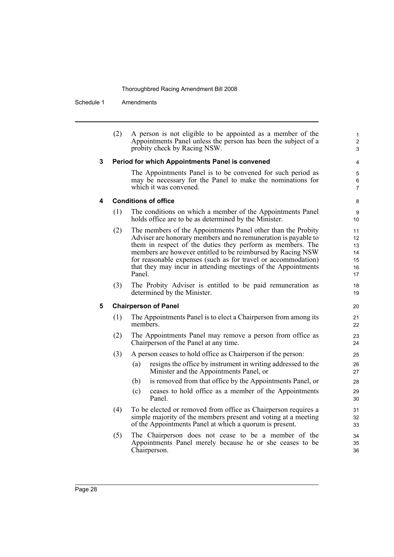Schedule 1 Amendments

|   | (2) | A person is not eligible to be appointed as a member of the<br>Appointments Panel unless the person has been the subject of a<br>probity check by Racing NSW.                                                                                                                                                                                                                                           | $\mathbf{1}$<br>$\overline{2}$<br>3    |
|---|-----|---------------------------------------------------------------------------------------------------------------------------------------------------------------------------------------------------------------------------------------------------------------------------------------------------------------------------------------------------------------------------------------------------------|----------------------------------------|
| 3 |     | Period for which Appointments Panel is convened                                                                                                                                                                                                                                                                                                                                                         | 4                                      |
|   |     | The Appointments Panel is to be convened for such period as<br>may be necessary for the Panel to make the nominations for<br>which it was convened.                                                                                                                                                                                                                                                     | 5<br>6<br>$\overline{7}$               |
| 4 |     | <b>Conditions of office</b>                                                                                                                                                                                                                                                                                                                                                                             | 8                                      |
|   | (1) | The conditions on which a member of the Appointments Panel<br>holds office are to be as determined by the Minister.                                                                                                                                                                                                                                                                                     | 9<br>10                                |
|   | (2) | The members of the Appointments Panel other than the Probity<br>Adviser are honorary members and no remuneration is payable to<br>them in respect of the duties they perform as members. The<br>members are however entitled to be reimbursed by Racing NSW<br>for reasonable expenses (such as for travel or accommodation)<br>that they may incur in attending meetings of the Appointments<br>Panel. | 11<br>12<br>13<br>14<br>15<br>16<br>17 |
|   | (3) | The Probity Adviser is entitled to be paid remuneration as<br>determined by the Minister.                                                                                                                                                                                                                                                                                                               | 18<br>19                               |
| 5 |     | <b>Chairperson of Panel</b>                                                                                                                                                                                                                                                                                                                                                                             | 20                                     |
|   | (1) | The Appointments Panel is to elect a Chairperson from among its<br>members.                                                                                                                                                                                                                                                                                                                             | 21<br>22                               |
|   | (2) | The Appointments Panel may remove a person from office as<br>Chairperson of the Panel at any time.                                                                                                                                                                                                                                                                                                      | 23<br>24                               |
|   | (3) | A person ceases to hold office as Chairperson if the person:                                                                                                                                                                                                                                                                                                                                            | 25                                     |
|   |     | resigns the office by instrument in writing addressed to the<br>(a)<br>Minister and the Appointments Panel, or                                                                                                                                                                                                                                                                                          | 26<br>27                               |
|   |     | (b)<br>is removed from that office by the Appointments Panel, or                                                                                                                                                                                                                                                                                                                                        | 28                                     |
|   |     | ceases to hold office as a member of the Appointments<br>(c)<br>Panel.                                                                                                                                                                                                                                                                                                                                  | 29<br>30                               |
|   | (4) | To be elected or removed from office as Chairperson requires a<br>simple majority of the members present and voting at a meeting<br>of the Appointments Panel at which a quorum is present.                                                                                                                                                                                                             | 31<br>32<br>33                         |
|   | (5) | The Chairperson does not cease to be a member of the<br>Appointments Panel merely because he or she ceases to be                                                                                                                                                                                                                                                                                        | 34<br>35                               |

36

Chairperson.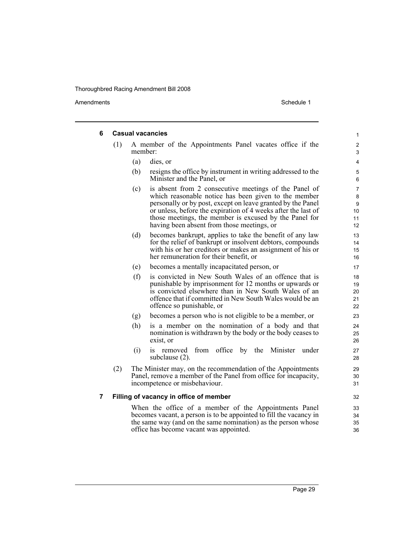| 6 |     | <b>Casual vacancies</b>                                                                                                                                                                                                                                                                                                                                      | 1                                          |
|---|-----|--------------------------------------------------------------------------------------------------------------------------------------------------------------------------------------------------------------------------------------------------------------------------------------------------------------------------------------------------------------|--------------------------------------------|
|   | (1) | A member of the Appointments Panel vacates office if the<br>member:                                                                                                                                                                                                                                                                                          | $\overline{c}$<br>3                        |
|   |     | (a)<br>dies, or                                                                                                                                                                                                                                                                                                                                              | 4                                          |
|   |     | (b)<br>resigns the office by instrument in writing addressed to the<br>Minister and the Panel, or                                                                                                                                                                                                                                                            | 5<br>6                                     |
|   |     | is absent from 2 consecutive meetings of the Panel of<br>(c)<br>which reasonable notice has been given to the member<br>personally or by post, except on leave granted by the Panel<br>or unless, before the expiration of 4 weeks after the last of<br>those meetings, the member is excused by the Panel for<br>having been absent from those meetings, or | $\overline{7}$<br>8<br>9<br>10<br>11<br>12 |
|   |     | becomes bankrupt, applies to take the benefit of any law<br>(d)<br>for the relief of bankrupt or insolvent debtors, compounds<br>with his or her creditors or makes an assignment of his or<br>her remuneration for their benefit, or                                                                                                                        | 13<br>14<br>15<br>16                       |
|   |     | becomes a mentally incapacitated person, or<br>(e)                                                                                                                                                                                                                                                                                                           | 17                                         |
|   |     | is convicted in New South Wales of an offence that is<br>(f)<br>punishable by imprisonment for 12 months or upwards or<br>is convicted elsewhere than in New South Wales of an<br>offence that if committed in New South Wales would be an<br>offence so punishable, or                                                                                      | 18<br>19<br>20<br>21<br>22                 |
|   |     | becomes a person who is not eligible to be a member, or<br>(g)                                                                                                                                                                                                                                                                                               | 23                                         |
|   |     | (h)<br>is a member on the nomination of a body and that<br>nomination is withdrawn by the body or the body ceases to<br>exist, or                                                                                                                                                                                                                            | 24<br>25<br>26                             |
|   |     | is removed from office by the<br>Minister<br>(i)<br>under<br>subclause $(2)$ .                                                                                                                                                                                                                                                                               | 27<br>28                                   |
|   | (2) | The Minister may, on the recommendation of the Appointments<br>Panel, remove a member of the Panel from office for incapacity,<br>incompetence or misbehaviour.                                                                                                                                                                                              | 29<br>30<br>31                             |
| 7 |     | Filling of vacancy in office of member                                                                                                                                                                                                                                                                                                                       | 32                                         |
|   |     | When the office of a member of the Appointments Panel<br>becomes vacant, a person is to be appointed to fill the vacancy in<br>the same way (and on the same nomination) as the person whose<br>office has become vacant was appointed.                                                                                                                      | 33<br>34<br>35<br>36                       |